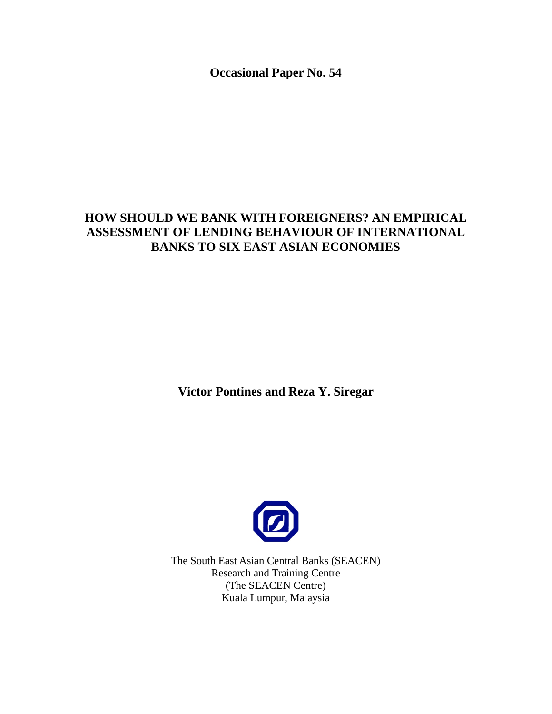**Occasional Paper No. 54** 

# **HOW SHOULD WE BANK WITH FOREIGNERS? AN EMPIRICAL ASSESSMENT OF LENDING BEHAVIOUR OF INTERNATIONAL BANKS TO SIX EAST ASIAN ECONOMIES**

**Victor Pontines and Reza Y. Siregar** 



The South East Asian Central Banks (SEACEN) Research and Training Centre (The SEACEN Centre) Kuala Lumpur, Malaysia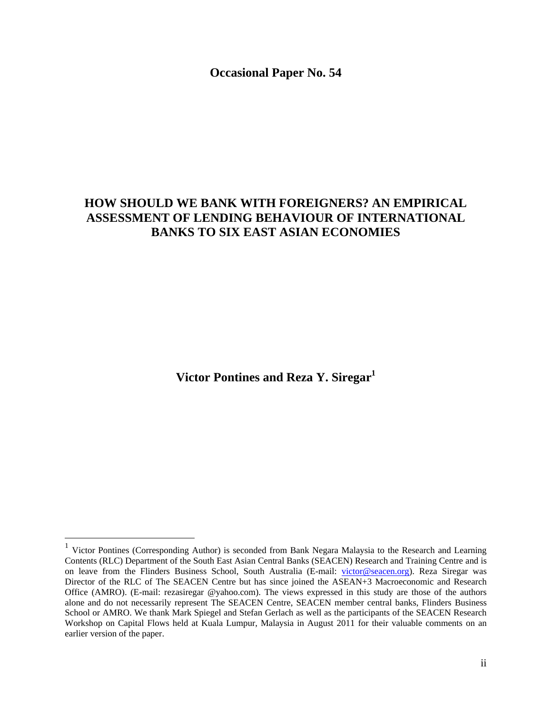**Occasional Paper No. 54** 

# **HOW SHOULD WE BANK WITH FOREIGNERS? AN EMPIRICAL ASSESSMENT OF LENDING BEHAVIOUR OF INTERNATIONAL BANKS TO SIX EAST ASIAN ECONOMIES**

Victor Pontines and Reza Y. Siregar<sup>1</sup>

 $\overline{a}$ 

<sup>&</sup>lt;sup>1</sup> Victor Pontines (Corresponding Author) is seconded from Bank Negara Malaysia to the Research and Learning Contents (RLC) Department of the South East Asian Central Banks (SEACEN) Research and Training Centre and is on leave from the Flinders Business School, South Australia (E-mail: victor@seacen.org). Reza Siregar was Director of the RLC of The SEACEN Centre but has since joined the ASEAN+3 Macroeconomic and Research Office (AMRO). (E-mail: rezasiregar @yahoo.com). The views expressed in this study are those of the authors alone and do not necessarily represent The SEACEN Centre, SEACEN member central banks, Flinders Business School or AMRO. We thank Mark Spiegel and Stefan Gerlach as well as the participants of the SEACEN Research Workshop on Capital Flows held at Kuala Lumpur, Malaysia in August 2011 for their valuable comments on an earlier version of the paper.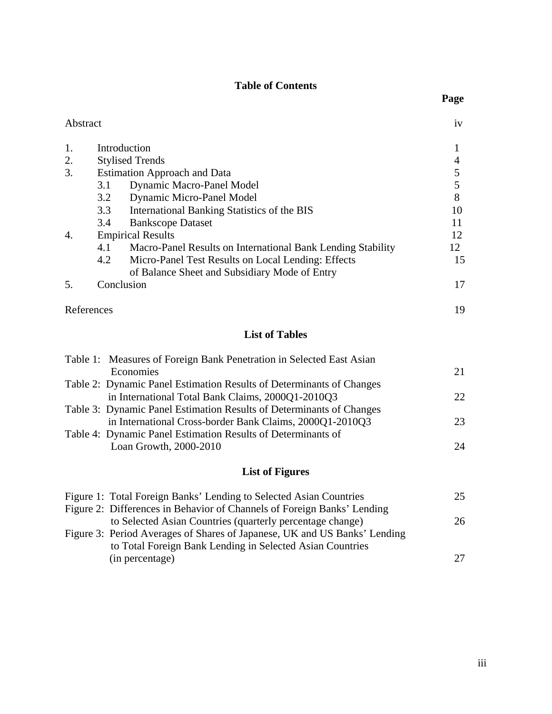## **Table of Contents**

Abstract iv

| 1. | Introduction |                                                             |    |  |  |
|----|--------------|-------------------------------------------------------------|----|--|--|
| 2. |              | <b>Stylised Trends</b>                                      |    |  |  |
| 3. |              | <b>Estimation Approach and Data</b>                         |    |  |  |
|    | 3.1          | Dynamic Macro-Panel Model                                   |    |  |  |
|    | 3.2          | Dynamic Micro-Panel Model                                   | 8  |  |  |
|    | 3.3          | International Banking Statistics of the BIS                 | 10 |  |  |
|    | 3.4          | <b>Bankscope Dataset</b>                                    |    |  |  |
| 4. |              | <b>Empirical Results</b>                                    |    |  |  |
|    | 4.1          | Macro-Panel Results on International Bank Lending Stability | 12 |  |  |
|    | 4.2          | Micro-Panel Test Results on Local Lending: Effects          | 15 |  |  |
|    |              | of Balance Sheet and Subsidiary Mode of Entry               |    |  |  |
| 5. |              | Conclusion                                                  | 17 |  |  |
|    | References   |                                                             | 19 |  |  |

# **List of Tables**

| Table 1: Measures of Foreign Bank Penetration in Selected East Asian |     |
|----------------------------------------------------------------------|-----|
| Economies                                                            | 21  |
| Table 2: Dynamic Panel Estimation Results of Determinants of Changes |     |
| in International Total Bank Claims, 2000Q1-2010Q3                    | 22. |
| Table 3: Dynamic Panel Estimation Results of Determinants of Changes |     |
| in International Cross-border Bank Claims, 2000Q1-2010Q3             | 23  |
| Table 4: Dynamic Panel Estimation Results of Determinants of         |     |
| Loan Growth, 2000-2010                                               | 24  |
|                                                                      |     |

# **List of Figures**

| Figure 1: Total Foreign Banks' Lending to Selected Asian Countries        | 25. |
|---------------------------------------------------------------------------|-----|
| Figure 2: Differences in Behavior of Channels of Foreign Banks' Lending   |     |
| to Selected Asian Countries (quarterly percentage change)                 | 26  |
| Figure 3: Period Averages of Shares of Japanese, UK and US Banks' Lending |     |
| to Total Foreign Bank Lending in Selected Asian Countries                 |     |
| (in percentage)                                                           | 27  |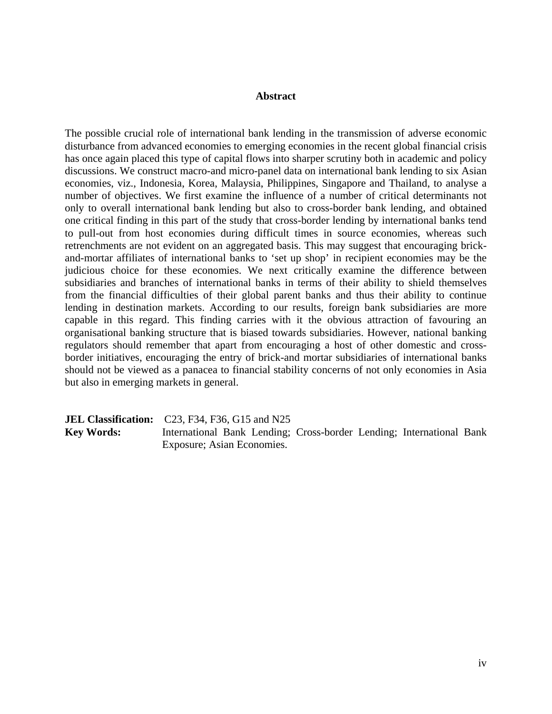#### **Abstract**

The possible crucial role of international bank lending in the transmission of adverse economic disturbance from advanced economies to emerging economies in the recent global financial crisis has once again placed this type of capital flows into sharper scrutiny both in academic and policy discussions. We construct macro-and micro-panel data on international bank lending to six Asian economies, viz., Indonesia, Korea, Malaysia, Philippines, Singapore and Thailand, to analyse a number of objectives. We first examine the influence of a number of critical determinants not only to overall international bank lending but also to cross-border bank lending, and obtained one critical finding in this part of the study that cross-border lending by international banks tend to pull-out from host economies during difficult times in source economies, whereas such retrenchments are not evident on an aggregated basis. This may suggest that encouraging brickand-mortar affiliates of international banks to 'set up shop' in recipient economies may be the judicious choice for these economies. We next critically examine the difference between subsidiaries and branches of international banks in terms of their ability to shield themselves from the financial difficulties of their global parent banks and thus their ability to continue lending in destination markets. According to our results, foreign bank subsidiaries are more capable in this regard. This finding carries with it the obvious attraction of favouring an organisational banking structure that is biased towards subsidiaries. However, national banking regulators should remember that apart from encouraging a host of other domestic and crossborder initiatives, encouraging the entry of brick-and mortar subsidiaries of international banks should not be viewed as a panacea to financial stability concerns of not only economies in Asia but also in emerging markets in general.

|                   | <b>JEL Classification:</b> $C23$ , F34, F36, G15 and N25             |  |
|-------------------|----------------------------------------------------------------------|--|
| <b>Key Words:</b> | International Bank Lending; Cross-border Lending; International Bank |  |
|                   | Exposure; Asian Economies.                                           |  |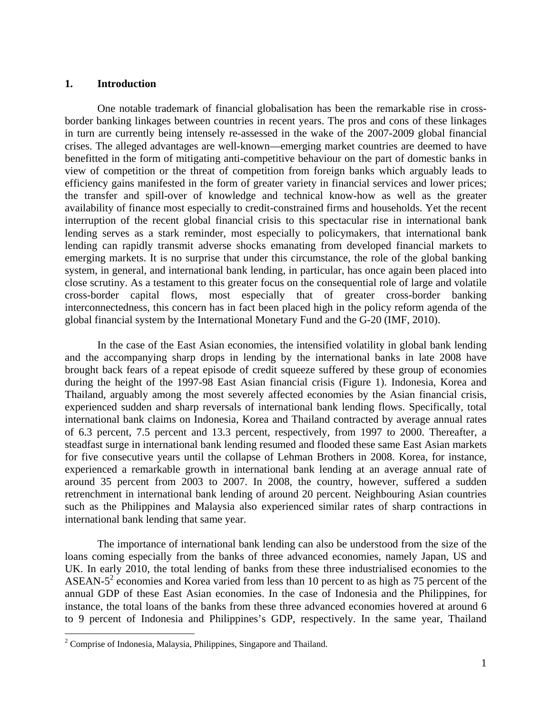#### **1. Introduction**

One notable trademark of financial globalisation has been the remarkable rise in crossborder banking linkages between countries in recent years. The pros and cons of these linkages in turn are currently being intensely re-assessed in the wake of the 2007-2009 global financial crises. The alleged advantages are well-known—emerging market countries are deemed to have benefitted in the form of mitigating anti-competitive behaviour on the part of domestic banks in view of competition or the threat of competition from foreign banks which arguably leads to efficiency gains manifested in the form of greater variety in financial services and lower prices; the transfer and spill-over of knowledge and technical know-how as well as the greater availability of finance most especially to credit-constrained firms and households. Yet the recent interruption of the recent global financial crisis to this spectacular rise in international bank lending serves as a stark reminder, most especially to policymakers, that international bank lending can rapidly transmit adverse shocks emanating from developed financial markets to emerging markets. It is no surprise that under this circumstance, the role of the global banking system, in general, and international bank lending, in particular, has once again been placed into close scrutiny. As a testament to this greater focus on the consequential role of large and volatile cross-border capital flows, most especially that of greater cross-border banking interconnectedness, this concern has in fact been placed high in the policy reform agenda of the global financial system by the International Monetary Fund and the G-20 (IMF, 2010).

 In the case of the East Asian economies, the intensified volatility in global bank lending and the accompanying sharp drops in lending by the international banks in late 2008 have brought back fears of a repeat episode of credit squeeze suffered by these group of economies during the height of the 1997-98 East Asian financial crisis (Figure 1). Indonesia, Korea and Thailand, arguably among the most severely affected economies by the Asian financial crisis, experienced sudden and sharp reversals of international bank lending flows. Specifically, total international bank claims on Indonesia, Korea and Thailand contracted by average annual rates of 6.3 percent, 7.5 percent and 13.3 percent, respectively, from 1997 to 2000. Thereafter, a steadfast surge in international bank lending resumed and flooded these same East Asian markets for five consecutive years until the collapse of Lehman Brothers in 2008. Korea, for instance, experienced a remarkable growth in international bank lending at an average annual rate of around 35 percent from 2003 to 2007. In 2008, the country, however, suffered a sudden retrenchment in international bank lending of around 20 percent. Neighbouring Asian countries such as the Philippines and Malaysia also experienced similar rates of sharp contractions in international bank lending that same year.

 The importance of international bank lending can also be understood from the size of the loans coming especially from the banks of three advanced economies, namely Japan, US and UK. In early 2010, the total lending of banks from these three industrialised economies to the ASEAN- $5<sup>2</sup>$  economies and Korea varied from less than 10 percent to as high as 75 percent of the annual GDP of these East Asian economies. In the case of Indonesia and the Philippines, for instance, the total loans of the banks from these three advanced economies hovered at around 6 to 9 percent of Indonesia and Philippines's GDP, respectively. In the same year, Thailand

 $\overline{a}$ 

 $2^2$  Comprise of Indonesia, Malaysia, Philippines, Singapore and Thailand.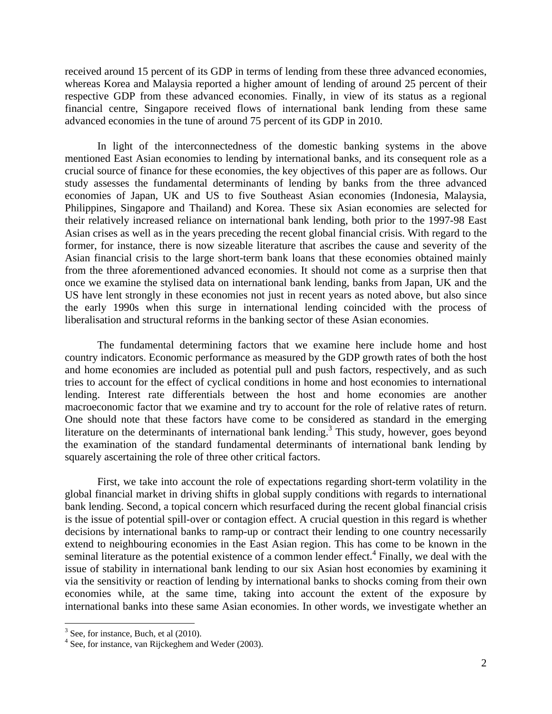received around 15 percent of its GDP in terms of lending from these three advanced economies, whereas Korea and Malaysia reported a higher amount of lending of around 25 percent of their respective GDP from these advanced economies. Finally, in view of its status as a regional financial centre, Singapore received flows of international bank lending from these same advanced economies in the tune of around 75 percent of its GDP in 2010.

In light of the interconnectedness of the domestic banking systems in the above mentioned East Asian economies to lending by international banks, and its consequent role as a crucial source of finance for these economies, the key objectives of this paper are as follows. Our study assesses the fundamental determinants of lending by banks from the three advanced economies of Japan, UK and US to five Southeast Asian economies (Indonesia, Malaysia, Philippines, Singapore and Thailand) and Korea. These six Asian economies are selected for their relatively increased reliance on international bank lending, both prior to the 1997-98 East Asian crises as well as in the years preceding the recent global financial crisis. With regard to the former, for instance, there is now sizeable literature that ascribes the cause and severity of the Asian financial crisis to the large short-term bank loans that these economies obtained mainly from the three aforementioned advanced economies. It should not come as a surprise then that once we examine the stylised data on international bank lending, banks from Japan, UK and the US have lent strongly in these economies not just in recent years as noted above, but also since the early 1990s when this surge in international lending coincided with the process of liberalisation and structural reforms in the banking sector of these Asian economies.

 The fundamental determining factors that we examine here include home and host country indicators. Economic performance as measured by the GDP growth rates of both the host and home economies are included as potential pull and push factors, respectively, and as such tries to account for the effect of cyclical conditions in home and host economies to international lending. Interest rate differentials between the host and home economies are another macroeconomic factor that we examine and try to account for the role of relative rates of return. One should note that these factors have come to be considered as standard in the emerging literature on the determinants of international bank lending.<sup>3</sup> This study, however, goes beyond the examination of the standard fundamental determinants of international bank lending by squarely ascertaining the role of three other critical factors.

First, we take into account the role of expectations regarding short-term volatility in the global financial market in driving shifts in global supply conditions with regards to international bank lending. Second, a topical concern which resurfaced during the recent global financial crisis is the issue of potential spill-over or contagion effect. A crucial question in this regard is whether decisions by international banks to ramp-up or contract their lending to one country necessarily extend to neighbouring economies in the East Asian region. This has come to be known in the seminal literature as the potential existence of a common lender effect.<sup>4</sup> Finally, we deal with the issue of stability in international bank lending to our six Asian host economies by examining it via the sensitivity or reaction of lending by international banks to shocks coming from their own economies while, at the same time, taking into account the extent of the exposure by international banks into these same Asian economies. In other words, we investigate whether an

 $\overline{a}$ 

 $3^3$  See, for instance, Buch, et al (2010).

 $4$  See, for instance, van Rijckeghem and Weder (2003).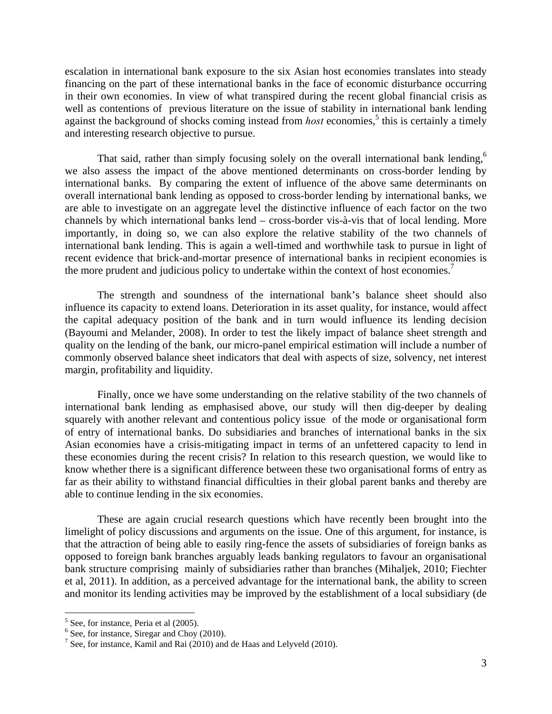escalation in international bank exposure to the six Asian host economies translates into steady financing on the part of these international banks in the face of economic disturbance occurring in their own economies. In view of what transpired during the recent global financial crisis as well as contentions of previous literature on the issue of stability in international bank lending against the background of shocks coming instead from *host* economies,<sup>5</sup> this is certainly a timely and interesting research objective to pursue.

That said, rather than simply focusing solely on the overall international bank lending,<sup>6</sup> we also assess the impact of the above mentioned determinants on cross-border lending by international banks. By comparing the extent of influence of the above same determinants on overall international bank lending as opposed to cross-border lending by international banks, we are able to investigate on an aggregate level the distinctive influence of each factor on the two channels by which international banks lend – cross-border vis-à-vis that of local lending. More importantly, in doing so, we can also explore the relative stability of the two channels of international bank lending. This is again a well-timed and worthwhile task to pursue in light of recent evidence that brick-and-mortar presence of international banks in recipient economies is the more prudent and judicious policy to undertake within the context of host economies.<sup>7</sup>

The strength and soundness of the international bank's balance sheet should also influence its capacity to extend loans. Deterioration in its asset quality, for instance, would affect the capital adequacy position of the bank and in turn would influence its lending decision (Bayoumi and Melander, 2008). In order to test the likely impact of balance sheet strength and quality on the lending of the bank, our micro-panel empirical estimation will include a number of commonly observed balance sheet indicators that deal with aspects of size, solvency, net interest margin, profitability and liquidity.

Finally, once we have some understanding on the relative stability of the two channels of international bank lending as emphasised above, our study will then dig-deeper by dealing squarely with another relevant and contentious policy issue of the mode or organisational form of entry of international banks. Do subsidiaries and branches of international banks in the six Asian economies have a crisis-mitigating impact in terms of an unfettered capacity to lend in these economies during the recent crisis? In relation to this research question, we would like to know whether there is a significant difference between these two organisational forms of entry as far as their ability to withstand financial difficulties in their global parent banks and thereby are able to continue lending in the six economies.

These are again crucial research questions which have recently been brought into the limelight of policy discussions and arguments on the issue. One of this argument, for instance, is that the attraction of being able to easily ring-fence the assets of subsidiaries of foreign banks as opposed to foreign bank branches arguably leads banking regulators to favour an organisational bank structure comprising mainly of subsidiaries rather than branches (Mihaljek, 2010; Fiechter et al, 2011). In addition, as a perceived advantage for the international bank, the ability to screen and monitor its lending activities may be improved by the establishment of a local subsidiary (de

1

<sup>&</sup>lt;sup>5</sup> See, for instance, Peria et al (2005).

<sup>&</sup>lt;sup>6</sup> See, for instance, Siregar and Choy (2010).

<sup>&</sup>lt;sup>7</sup> See, for instance, Kamil and Rai (2010) and de Haas and Lelyveld (2010).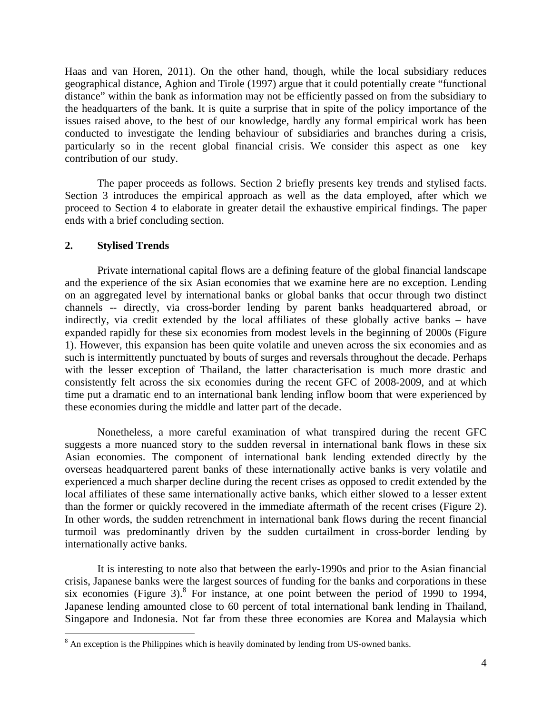Haas and van Horen, 2011). On the other hand, though, while the local subsidiary reduces geographical distance, Aghion and Tirole (1997) argue that it could potentially create "functional distance" within the bank as information may not be efficiently passed on from the subsidiary to the headquarters of the bank. It is quite a surprise that in spite of the policy importance of the issues raised above, to the best of our knowledge, hardly any formal empirical work has been conducted to investigate the lending behaviour of subsidiaries and branches during a crisis, particularly so in the recent global financial crisis. We consider this aspect as one key contribution of our study.

The paper proceeds as follows. Section 2 briefly presents key trends and stylised facts. Section 3 introduces the empirical approach as well as the data employed, after which we proceed to Section 4 to elaborate in greater detail the exhaustive empirical findings. The paper ends with a brief concluding section.

#### **2. Stylised Trends**

<u>.</u>

Private international capital flows are a defining feature of the global financial landscape and the experience of the six Asian economies that we examine here are no exception. Lending on an aggregated level by international banks or global banks that occur through two distinct channels -- directly, via cross-border lending by parent banks headquartered abroad, or indirectly, via credit extended by the local affiliates of these globally active banks – have expanded rapidly for these six economies from modest levels in the beginning of 2000s (Figure 1). However, this expansion has been quite volatile and uneven across the six economies and as such is intermittently punctuated by bouts of surges and reversals throughout the decade. Perhaps with the lesser exception of Thailand, the latter characterisation is much more drastic and consistently felt across the six economies during the recent GFC of 2008-2009, and at which time put a dramatic end to an international bank lending inflow boom that were experienced by these economies during the middle and latter part of the decade.

Nonetheless, a more careful examination of what transpired during the recent GFC suggests a more nuanced story to the sudden reversal in international bank flows in these six Asian economies. The component of international bank lending extended directly by the overseas headquartered parent banks of these internationally active banks is very volatile and experienced a much sharper decline during the recent crises as opposed to credit extended by the local affiliates of these same internationally active banks, which either slowed to a lesser extent than the former or quickly recovered in the immediate aftermath of the recent crises (Figure 2). In other words, the sudden retrenchment in international bank flows during the recent financial turmoil was predominantly driven by the sudden curtailment in cross-border lending by internationally active banks.

It is interesting to note also that between the early-1990s and prior to the Asian financial crisis, Japanese banks were the largest sources of funding for the banks and corporations in these six economies (Figure 3). $8$  For instance, at one point between the period of 1990 to 1994, Japanese lending amounted close to 60 percent of total international bank lending in Thailand, Singapore and Indonesia. Not far from these three economies are Korea and Malaysia which

 $8$  An exception is the Philippines which is heavily dominated by lending from US-owned banks.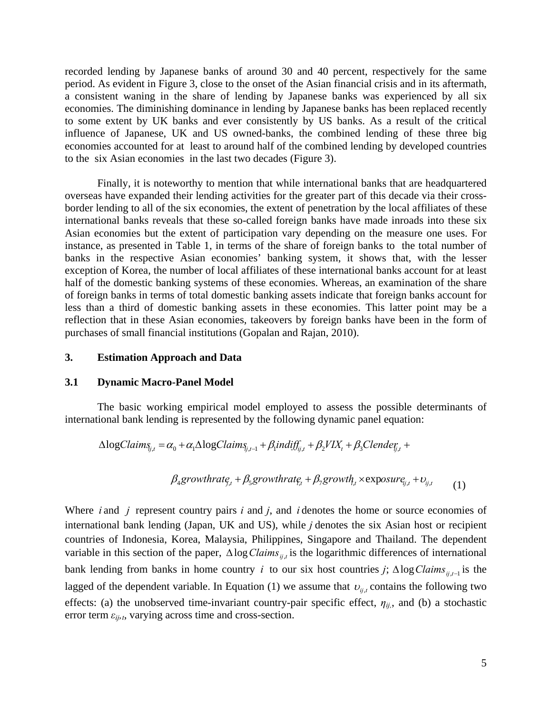recorded lending by Japanese banks of around 30 and 40 percent, respectively for the same period. As evident in Figure 3, close to the onset of the Asian financial crisis and in its aftermath, a consistent waning in the share of lending by Japanese banks was experienced by all six economies. The diminishing dominance in lending by Japanese banks has been replaced recently to some extent by UK banks and ever consistently by US banks. As a result of the critical influence of Japanese, UK and US owned-banks, the combined lending of these three big economies accounted for at least to around half of the combined lending by developed countries to the six Asian economies in the last two decades (Figure 3).

Finally, it is noteworthy to mention that while international banks that are headquartered overseas have expanded their lending activities for the greater part of this decade via their crossborder lending to all of the six economies, the extent of penetration by the local affiliates of these international banks reveals that these so-called foreign banks have made inroads into these six Asian economies but the extent of participation vary depending on the measure one uses. For instance, as presented in Table 1, in terms of the share of foreign banks to the total number of banks in the respective Asian economies' banking system, it shows that, with the lesser exception of Korea, the number of local affiliates of these international banks account for at least half of the domestic banking systems of these economies. Whereas, an examination of the share of foreign banks in terms of total domestic banking assets indicate that foreign banks account for less than a third of domestic banking assets in these economies. This latter point may be a reflection that in these Asian economies, takeovers by foreign banks have been in the form of purchases of small financial institutions (Gopalan and Rajan, 2010).

#### **3. Estimation Approach and Data**

#### **3.1 Dynamic Macro-Panel Model**

The basic working empirical model employed to assess the possible determinants of international bank lending is represented by the following dynamic panel equation:

$$
\Delta logClaim_{\S_{j,t}} = \alpha_0 + \alpha_1 \Delta logClaim_{\S_{j,t-1}} + \beta_1 indiff_{ij,t} + \beta_2 VIX_t + \beta_3 Clement_{\S_{j,t}} +
$$

$$
\beta_4 growth rate_{f,t} + \beta_5 growth rate_{f,t} + \beta_7 growth_{f,t} \times \exposure_{i,t} + \nu_{i,t} \tag{1}
$$

Where *i* and *j* represent country pairs *i* and *j*, and *i* denotes the home or source economies of international bank lending (Japan, UK and US), while *j* denotes the six Asian host or recipient countries of Indonesia, Korea, Malaysia, Philippines, Singapore and Thailand. The dependent variable in this section of the paper,  $\triangle \log Clains_{ii,t}$  is the logarithmic differences of international bank lending from banks in home country *i* to our six host countries *j*;  $\Delta \log Clains_{ii,t-1}$  is the lagged of the dependent variable. In Equation (1) we assume that  $v_{ij,t}$  contains the following two effects: (a) the unobserved time-invariant country-pair specific effect,  $\eta_{ij}$ , and (b) a stochastic error term *εij,t*, varying across time and cross-section.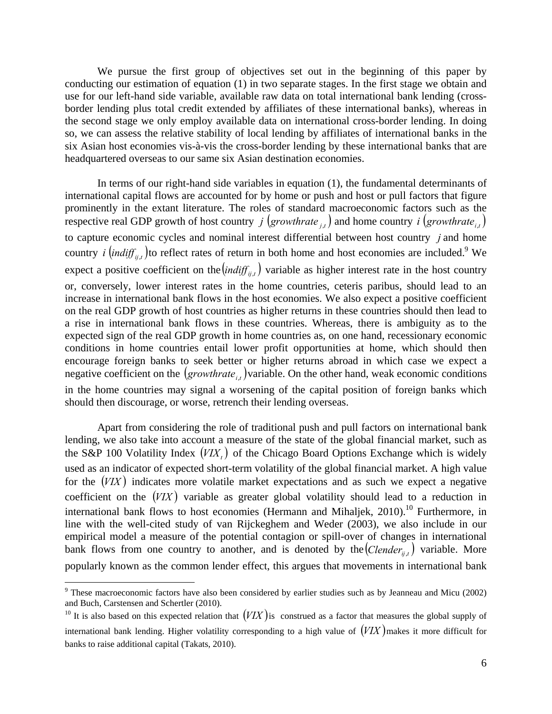We pursue the first group of objectives set out in the beginning of this paper by conducting our estimation of equation (1) in two separate stages. In the first stage we obtain and use for our left-hand side variable, available raw data on total international bank lending (crossborder lending plus total credit extended by affiliates of these international banks), whereas in the second stage we only employ available data on international cross-border lending. In doing so, we can assess the relative stability of local lending by affiliates of international banks in the six Asian host economies vis-à-vis the cross-border lending by these international banks that are headquartered overseas to our same six Asian destination economies.

In terms of our right-hand side variables in equation (1), the fundamental determinants of international capital flows are accounted for by home or push and host or pull factors that figure prominently in the extant literature. The roles of standard macroeconomic factors such as the respective real GDP growth of host country *j*  $(growthrate_{i,t})$  and home country *i*  $(growthrate_{i,t})$ to capture economic cycles and nominal interest differential between host country *j* and home country *i*  $\left(\text{indiff}_{ij,t}\right)$  to reflect rates of return in both home and host economies are included.<sup>9</sup> We expect a positive coefficient on the  $\left(\text{indiff}_{i,t}\right)$  variable as higher interest rate in the host country or, conversely, lower interest rates in the home countries, ceteris paribus, should lead to an increase in international bank flows in the host economies. We also expect a positive coefficient on the real GDP growth of host countries as higher returns in these countries should then lead to a rise in international bank flows in these countries. Whereas, there is ambiguity as to the expected sign of the real GDP growth in home countries as, on one hand, recessionary economic conditions in home countries entail lower profit opportunities at home, which should then encourage foreign banks to seek better or higher returns abroad in which case we expect a negative coefficient on the  $(growthrate_{i,t})$  variable. On the other hand, weak economic conditions in the home countries may signal a worsening of the capital position of foreign banks which should then discourage, or worse, retrench their lending overseas.

Apart from considering the role of traditional push and pull factors on international bank lending, we also take into account a measure of the state of the global financial market, such as the S&P 100 Volatility Index  $(VIX<sub>t</sub>)$  of the Chicago Board Options Exchange which is widely used as an indicator of expected short-term volatility of the global financial market. A high value for the  $(VIX)$  indicates more volatile market expectations and as such we expect a negative coefficient on the  $(VIX)$  variable as greater global volatility should lead to a reduction in international bank flows to host economies (Hermann and Mihaljek,  $2010$ ).<sup>10</sup> Furthermore, in line with the well-cited study of van Rijckeghem and Weder (2003), we also include in our empirical model a measure of the potential contagion or spill-over of changes in international bank flows from one country to another, and is denoted by the  $(Clender_{ii,t})$  variable. More popularly known as the common lender effect, this argues that movements in international bank

 $\overline{a}$ 

<sup>&</sup>lt;sup>9</sup> These macroeconomic factors have also been considered by earlier studies such as by Jeanneau and Micu (2002) and Buch, Carstensen and Schertler (2010).

<sup>&</sup>lt;sup>10</sup> It is also based on this expected relation that  $(VIX)$  is construed as a factor that measures the global supply of international bank lending. Higher volatility corresponding to a high value of  $(VIX)$  makes it more difficult for banks to raise additional capital (Takats, 2010).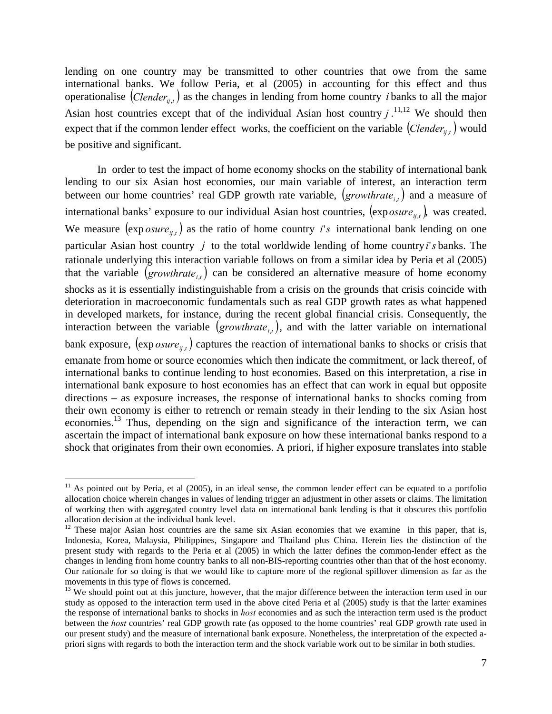lending on one country may be transmitted to other countries that owe from the same international banks. We follow Peria, et al (2005) in accounting for this effect and thus operationalise  $(Clender_{ij,t})$  as the changes in lending from home country *i* banks to all the major Asian host countries except that of the individual Asian host country  $j$ .<sup>11,12</sup> We should then expect that if the common lender effect works, the coefficient on the variable  $(Clender_{ii,t})$  would be positive and significant.

In order to test the impact of home economy shocks on the stability of international bank lending to our six Asian host economies, our main variable of interest, an interaction term between our home countries' real GDP growth rate variable,  $(growthrate_{i,t})$  and a measure of international banks' exposure to our individual Asian host countries,  $(\exp o sure_{ii,t})$ , was created. We measure  $(\exp o \, \textit{sure}_{i,j})$  as the ratio of home country *i*'s international bank lending on one particular Asian host country *j* to the total worldwide lending of home country*i*'*s* banks. The rationale underlying this interaction variable follows on from a similar idea by Peria et al (2005) that the variable  $(growthrate_{i,t})$  can be considered an alternative measure of home economy shocks as it is essentially indistinguishable from a crisis on the grounds that crisis coincide with deterioration in macroeconomic fundamentals such as real GDP growth rates as what happened in developed markets, for instance, during the recent global financial crisis. Consequently, the interaction between the variable  $(growthrate_{it})$ , and with the latter variable on international bank exposure,  $(\exp_{\theta} sure_{ii})$  captures the reaction of international banks to shocks or crisis that emanate from home or source economies which then indicate the commitment, or lack thereof, of international banks to continue lending to host economies. Based on this interpretation, a rise in international bank exposure to host economies has an effect that can work in equal but opposite directions – as exposure increases, the response of international banks to shocks coming from their own economy is either to retrench or remain steady in their lending to the six Asian host economies.<sup>13</sup> Thus, depending on the sign and significance of the interaction term, we can ascertain the impact of international bank exposure on how these international banks respond to a shock that originates from their own economies. A priori, if higher exposure translates into stable

1

 $11$  As pointed out by Peria, et al (2005), in an ideal sense, the common lender effect can be equated to a portfolio allocation choice wherein changes in values of lending trigger an adjustment in other assets or claims. The limitation of working then with aggregated country level data on international bank lending is that it obscures this portfolio allocation decision at the individual bank level.

 $12$  These major Asian host countries are the same six Asian economies that we examine in this paper, that is, Indonesia, Korea, Malaysia, Philippines, Singapore and Thailand plus China. Herein lies the distinction of the present study with regards to the Peria et al (2005) in which the latter defines the common-lender effect as the changes in lending from home country banks to all non-BIS-reporting countries other than that of the host economy. Our rationale for so doing is that we would like to capture more of the regional spillover dimension as far as the movements in this type of flows is concerned.

 $13$  We should point out at this juncture, however, that the major difference between the interaction term used in our study as opposed to the interaction term used in the above cited Peria et al (2005) study is that the latter examines the response of international banks to shocks in *host* economies and as such the interaction term used is the product between the *host* countries' real GDP growth rate (as opposed to the home countries' real GDP growth rate used in our present study) and the measure of international bank exposure. Nonetheless, the interpretation of the expected apriori signs with regards to both the interaction term and the shock variable work out to be similar in both studies.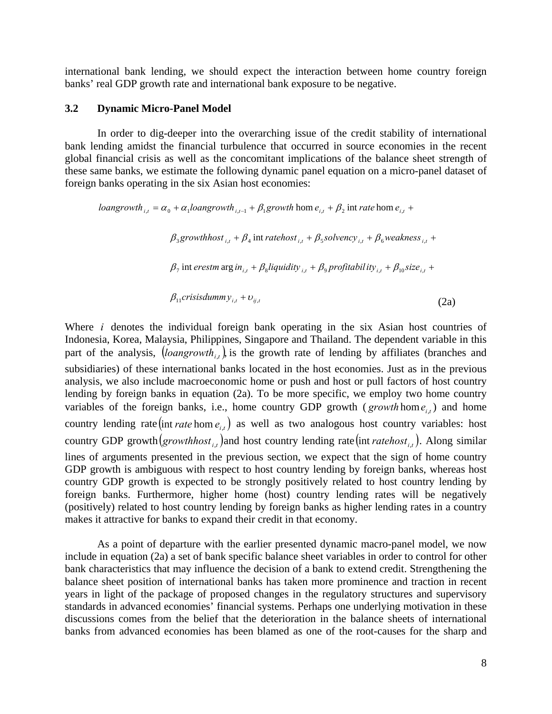international bank lending, we should expect the interaction between home country foreign banks' real GDP growth rate and international bank exposure to be negative.

#### **3.2 Dynamic Micro-Panel Model**

In order to dig-deeper into the overarching issue of the credit stability of international bank lending amidst the financial turbulence that occurred in source economies in the recent global financial crisis as well as the concomitant implications of the balance sheet strength of these same banks, we estimate the following dynamic panel equation on a micro-panel dataset of foreign banks operating in the six Asian host economies:

 $\beta_{11}$ crisisdumm $y_{i,t} + v_{ij,t}$  $\beta_7$  int erestm  $\arg in_{i,t} + \beta_8$  *liquidity*  $_{i,t} + \beta_9$  profitability<sub>it</sub> +  $\beta_{10}$  size<sub>it</sub> +  $\beta_3$ growthhost  $\beta_{i,t} + \beta_4$  int ratehost  $\beta_{i,t} + \beta_5$ solvency  $\beta_{i,t} + \beta_6$ weakness  $\beta_{i,t} + \beta_7$ *loangrowth*  $i_{i,t} = \alpha_0 + \alpha_1$ *loangrowth*  $i_{i,t-1} + \beta_1$  *growth* hom  $e_{i,t} + \beta_2$  int *rate* hom  $e_{i,t}$  + (2a)

Where *i* denotes the individual foreign bank operating in the six Asian host countries of Indonesia, Korea, Malaysia, Philippines, Singapore and Thailand. The dependent variable in this part of the analysis,  $\left( \text{logngrowth}_{i} \right)$  is the growth rate of lending by affiliates (branches and subsidiaries) of these international banks located in the host economies. Just as in the previous analysis, we also include macroeconomic home or push and host or pull factors of host country lending by foreign banks in equation (2a). To be more specific, we employ two home country variables of the foreign banks, i.e., home country GDP growth ( $\text{growth}\$ hom  $e_{i}$ ) and home country lending rate  $(\text{int rate hom } e_{i,t})$  as well as two analogous host country variables: host country GDP growth  $(growth_{\text{rowth}})$  and host country lending rate  $(\text{int rate}_{\text{not}})$ . Along similar lines of arguments presented in the previous section, we expect that the sign of home country GDP growth is ambiguous with respect to host country lending by foreign banks, whereas host country GDP growth is expected to be strongly positively related to host country lending by foreign banks. Furthermore, higher home (host) country lending rates will be negatively (positively) related to host country lending by foreign banks as higher lending rates in a country makes it attractive for banks to expand their credit in that economy.

As a point of departure with the earlier presented dynamic macro-panel model, we now include in equation (2a) a set of bank specific balance sheet variables in order to control for other bank characteristics that may influence the decision of a bank to extend credit. Strengthening the balance sheet position of international banks has taken more prominence and traction in recent years in light of the package of proposed changes in the regulatory structures and supervisory standards in advanced economies' financial systems. Perhaps one underlying motivation in these discussions comes from the belief that the deterioration in the balance sheets of international banks from advanced economies has been blamed as one of the root-causes for the sharp and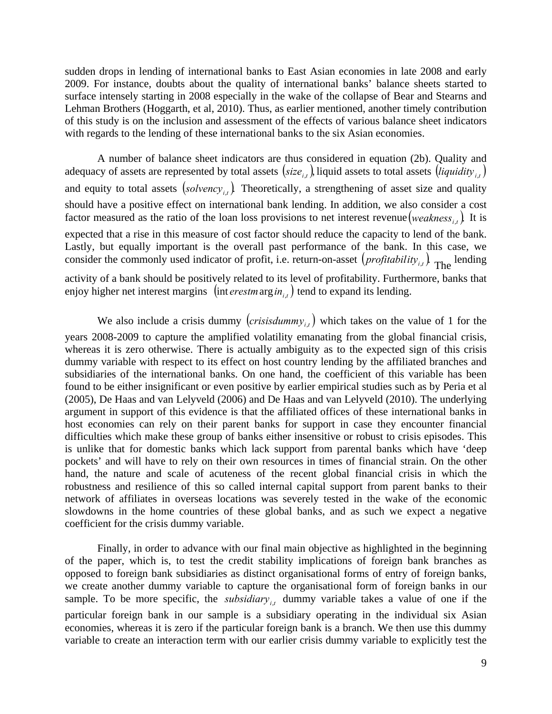sudden drops in lending of international banks to East Asian economies in late 2008 and early 2009. For instance, doubts about the quality of international banks' balance sheets started to surface intensely starting in 2008 especially in the wake of the collapse of Bear and Stearns and Lehman Brothers (Hoggarth, et al, 2010). Thus, as earlier mentioned, another timely contribution of this study is on the inclusion and assessment of the effects of various balance sheet indicators with regards to the lending of these international banks to the six Asian economies.

A number of balance sheet indicators are thus considered in equation (2b). Quality and adequacy of assets are represented by total assets  $(size_{i,t})$ , liquid assets to total assets  $(iquality_{i,t})$ and equity to total assets  $(solvency_{i,i})$ . Theoretically, a strengthening of asset size and quality should have a positive effect on international bank lending. In addition, we also consider a cost factor measured as the ratio of the loan loss provisions to net interest revenue (weakness<sub>it</sub>). It is expected that a rise in this measure of cost factor should reduce the capacity to lend of the bank. Lastly, but equally important is the overall past performance of the bank. In this case, we consider the commonly used indicator of profit, i.e. return-on-asset  $\left( \text{profitability}_{i,t} \right)$  The lending activity of a bank should be positively related to its level of profitability. Furthermore, banks that enjoy higher net interest margins  $\left(\text{int }\text{er} \text{est } m \text{ arg } \text{in}_{i,t}\right)$  tend to expand its lending.

We also include a crisis dummy  $(crisisdummy_{i,t})$  which takes on the value of 1 for the years 2008-2009 to capture the amplified volatility emanating from the global financial crisis, whereas it is zero otherwise. There is actually ambiguity as to the expected sign of this crisis dummy variable with respect to its effect on host country lending by the affiliated branches and subsidiaries of the international banks. On one hand, the coefficient of this variable has been found to be either insignificant or even positive by earlier empirical studies such as by Peria et al (2005), De Haas and van Lelyveld (2006) and De Haas and van Lelyveld (2010). The underlying argument in support of this evidence is that the affiliated offices of these international banks in host economies can rely on their parent banks for support in case they encounter financial difficulties which make these group of banks either insensitive or robust to crisis episodes. This is unlike that for domestic banks which lack support from parental banks which have 'deep pockets' and will have to rely on their own resources in times of financial strain. On the other hand, the nature and scale of acuteness of the recent global financial crisis in which the robustness and resilience of this so called internal capital support from parent banks to their network of affiliates in overseas locations was severely tested in the wake of the economic slowdowns in the home countries of these global banks, and as such we expect a negative coefficient for the crisis dummy variable.

Finally, in order to advance with our final main objective as highlighted in the beginning of the paper, which is, to test the credit stability implications of foreign bank branches as opposed to foreign bank subsidiaries as distinct organisational forms of entry of foreign banks, we create another dummy variable to capture the organisational form of foreign banks in our sample. To be more specific, the *subsidiary*, dummy variable takes a value of one if the particular foreign bank in our sample is a subsidiary operating in the individual six Asian economies, whereas it is zero if the particular foreign bank is a branch. We then use this dummy variable to create an interaction term with our earlier crisis dummy variable to explicitly test the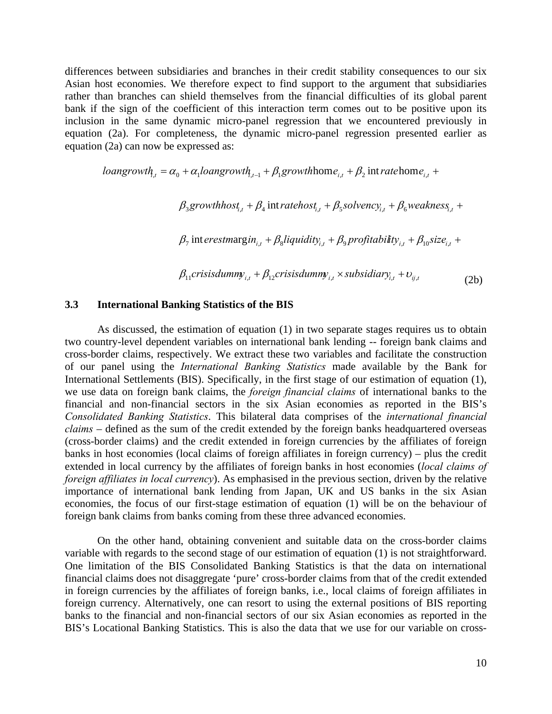differences between subsidiaries and branches in their credit stability consequences to our six Asian host economies. We therefore expect to find support to the argument that subsidiaries rather than branches can shield themselves from the financial difficulties of its global parent bank if the sign of the coefficient of this interaction term comes out to be positive upon its inclusion in the same dynamic micro-panel regression that we encountered previously in equation (2a). For completeness, the dynamic micro-panel regression presented earlier as equation (2a) can now be expressed as:

$$
loangrowth_{i,t} = \alpha_0 + \alpha_1 loangrowth_{i,t-1} + \beta_1 growthhome_{i,t} + \beta_2 int ratehome_{i,t} +
$$

 $\beta_3$ growthhost<sub>i,t</sub></sub> +  $\beta_4$  intratehost<sub>i,t</sub> +  $\beta_5$ solvency<sub>i,t</sub> +  $\beta_6$ weakness<sub>i,t</sub> +

 $\beta_7$  interestmargin<sub>it</sub> +  $\beta_8$  *liquidity*<sub>*i*,t</sub> +  $\beta_9$  profitability<sub>*i*,t</sub> +  $\beta_{10}$ size<sub>*i*,t</sub> +

 $\beta_{11}$ crisisdummy<sub>i,t</sub> +  $\beta_{12}$ crisisdummy<sub>i,t</sub> × subsidiary<sub>i,t</sub> +  $v_{ij,t}$ (2b)

#### **3.3 International Banking Statistics of the BIS**

As discussed, the estimation of equation (1) in two separate stages requires us to obtain two country-level dependent variables on international bank lending -- foreign bank claims and cross-border claims, respectively. We extract these two variables and facilitate the construction of our panel using the *International Banking Statistics* made available by the Bank for International Settlements (BIS). Specifically, in the first stage of our estimation of equation (1), we use data on foreign bank claims, the *foreign financial claims* of international banks to the financial and non-financial sectors in the six Asian economies as reported in the BIS's *Consolidated Banking Statistics*. This bilateral data comprises of the *international financial claims* – defined as the sum of the credit extended by the foreign banks headquartered overseas (cross-border claims) and the credit extended in foreign currencies by the affiliates of foreign banks in host economies (local claims of foreign affiliates in foreign currency) – plus the credit extended in local currency by the affiliates of foreign banks in host economies (*local claims of foreign affiliates in local currency*). As emphasised in the previous section, driven by the relative importance of international bank lending from Japan, UK and US banks in the six Asian economies, the focus of our first-stage estimation of equation (1) will be on the behaviour of foreign bank claims from banks coming from these three advanced economies.

On the other hand, obtaining convenient and suitable data on the cross-border claims variable with regards to the second stage of our estimation of equation (1) is not straightforward. One limitation of the BIS Consolidated Banking Statistics is that the data on international financial claims does not disaggregate 'pure' cross-border claims from that of the credit extended in foreign currencies by the affiliates of foreign banks, i.e., local claims of foreign affiliates in foreign currency. Alternatively, one can resort to using the external positions of BIS reporting banks to the financial and non-financial sectors of our six Asian economies as reported in the BIS's Locational Banking Statistics. This is also the data that we use for our variable on cross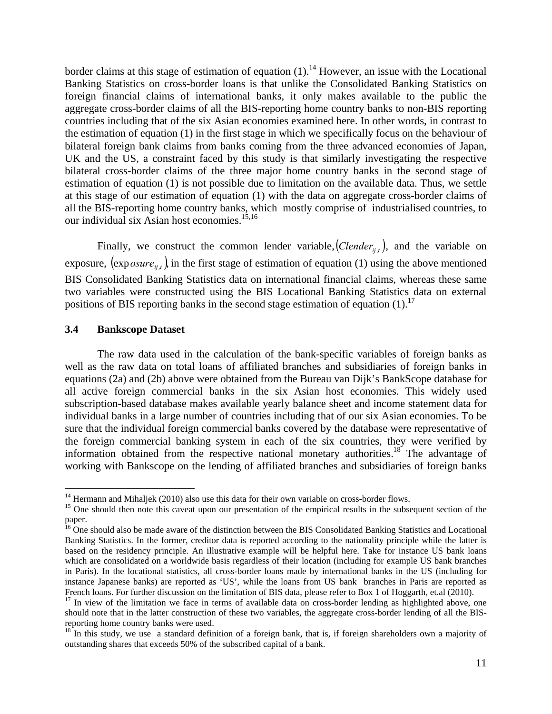border claims at this stage of estimation of equation  $(1)$ .<sup>14</sup> However, an issue with the Locational Banking Statistics on cross-border loans is that unlike the Consolidated Banking Statistics on foreign financial claims of international banks, it only makes available to the public the aggregate cross-border claims of all the BIS-reporting home country banks to non-BIS reporting countries including that of the six Asian economies examined here. In other words, in contrast to the estimation of equation (1) in the first stage in which we specifically focus on the behaviour of bilateral foreign bank claims from banks coming from the three advanced economies of Japan, UK and the US, a constraint faced by this study is that similarly investigating the respective bilateral cross-border claims of the three major home country banks in the second stage of estimation of equation (1) is not possible due to limitation on the available data. Thus, we settle at this stage of our estimation of equation (1) with the data on aggregate cross-border claims of all the BIS-reporting home country banks, which mostly comprise of industrialised countries, to our individual six Asian host economies.15,16

Finally, we construct the common lender variable,  $(Clender_{ii,t})$ , and the variable on exposure,  $(exposure_{ii},)$  in the first stage of estimation of equation (1) using the above mentioned BIS Consolidated Banking Statistics data on international financial claims, whereas these same two variables were constructed using the BIS Locational Banking Statistics data on external positions of BIS reporting banks in the second stage estimation of equation  $(1)$ .<sup>17</sup>

#### **3.4 Bankscope Dataset**

 $\overline{a}$ 

The raw data used in the calculation of the bank-specific variables of foreign banks as well as the raw data on total loans of affiliated branches and subsidiaries of foreign banks in equations (2a) and (2b) above were obtained from the Bureau van Dijk's BankScope database for all active foreign commercial banks in the six Asian host economies. This widely used subscription-based database makes available yearly balance sheet and income statement data for individual banks in a large number of countries including that of our six Asian economies. To be sure that the individual foreign commercial banks covered by the database were representative of the foreign commercial banking system in each of the six countries, they were verified by information obtained from the respective national monetary authorities.<sup>18</sup> The advantage of working with Bankscope on the lending of affiliated branches and subsidiaries of foreign banks

 $14$  Hermann and Mihaljek (2010) also use this data for their own variable on cross-border flows.

<sup>&</sup>lt;sup>15</sup> One should then note this caveat upon our presentation of the empirical results in the subsequent section of the paper.

<sup>&</sup>lt;sup>16</sup> One should also be made aware of the distinction between the BIS Consolidated Banking Statistics and Locational Banking Statistics. In the former, creditor data is reported according to the nationality principle while the latter is based on the residency principle. An illustrative example will be helpful here. Take for instance US bank loans which are consolidated on a worldwide basis regardless of their location (including for example US bank branches in Paris). In the locational statistics, all cross-border loans made by international banks in the US (including for instance Japanese banks) are reported as 'US', while the loans from US bank branches in Paris are reported as French loans. For further discussion on the limitation of BIS data, please refer to Box 1 of Hoggarth, et.al (2010).

 $17$  In view of the limitation we face in terms of available data on cross-border lending as highlighted above, one should note that in the latter construction of these two variables, the aggregate cross-border lending of all the BISreporting home country banks were used.

<sup>&</sup>lt;sup>18</sup> In this study, we use a standard definition of a foreign bank, that is, if foreign shareholders own a majority of outstanding shares that exceeds 50% of the subscribed capital of a bank.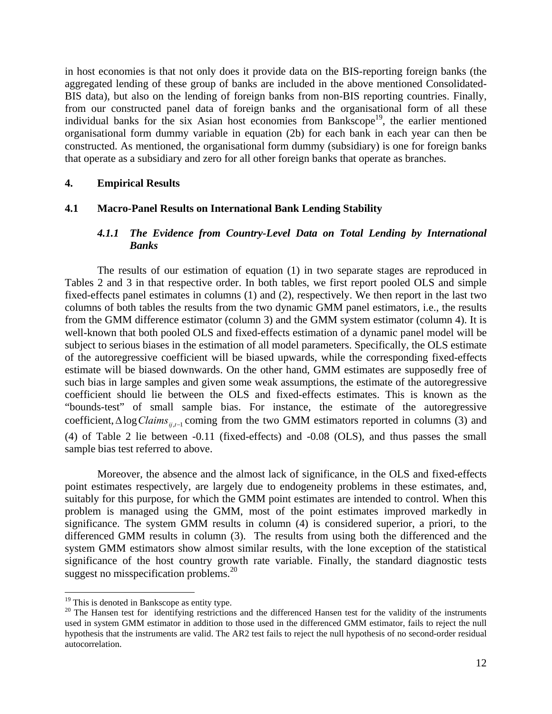in host economies is that not only does it provide data on the BIS-reporting foreign banks (the aggregated lending of these group of banks are included in the above mentioned Consolidated-BIS data), but also on the lending of foreign banks from non-BIS reporting countries. Finally, from our constructed panel data of foreign banks and the organisational form of all these individual banks for the six Asian host economies from Bankscope<sup>19</sup>, the earlier mentioned organisational form dummy variable in equation (2b) for each bank in each year can then be constructed. As mentioned, the organisational form dummy (subsidiary) is one for foreign banks that operate as a subsidiary and zero for all other foreign banks that operate as branches.

#### **4. Empirical Results**

## **4.1 Macro-Panel Results on International Bank Lending Stability**

#### *4.1.1 The Evidence from Country-Level Data on Total Lending by International Banks*

The results of our estimation of equation (1) in two separate stages are reproduced in Tables 2 and 3 in that respective order. In both tables, we first report pooled OLS and simple fixed-effects panel estimates in columns (1) and (2), respectively. We then report in the last two columns of both tables the results from the two dynamic GMM panel estimators, i.e., the results from the GMM difference estimator (column 3) and the GMM system estimator (column 4). It is well-known that both pooled OLS and fixed-effects estimation of a dynamic panel model will be subject to serious biases in the estimation of all model parameters. Specifically, the OLS estimate of the autoregressive coefficient will be biased upwards, while the corresponding fixed-effects estimate will be biased downwards. On the other hand, GMM estimates are supposedly free of such bias in large samples and given some weak assumptions, the estimate of the autoregressive coefficient should lie between the OLS and fixed-effects estimates. This is known as the "bounds-test" of small sample bias. For instance, the estimate of the autoregressive coefficient,  $\triangle \log Clains_{i,i-1}$  coming from the two GMM estimators reported in columns (3) and (4) of Table 2 lie between -0.11 (fixed-effects) and -0.08 (OLS), and thus passes the small sample bias test referred to above.

Moreover, the absence and the almost lack of significance, in the OLS and fixed-effects point estimates respectively, are largely due to endogeneity problems in these estimates, and, suitably for this purpose, for which the GMM point estimates are intended to control. When this problem is managed using the GMM, most of the point estimates improved markedly in significance. The system GMM results in column (4) is considered superior, a priori, to the differenced GMM results in column (3). The results from using both the differenced and the system GMM estimators show almost similar results, with the lone exception of the statistical significance of the host country growth rate variable. Finally, the standard diagnostic tests suggest no misspecification problems. $^{20}$ 

 $\overline{a}$ 

<sup>&</sup>lt;sup>19</sup> This is denoted in Bankscope as entity type.

 $20$  The Hansen test for identifying restrictions and the differenced Hansen test for the validity of the instruments used in system GMM estimator in addition to those used in the differenced GMM estimator, fails to reject the null hypothesis that the instruments are valid. The AR2 test fails to reject the null hypothesis of no second-order residual autocorrelation.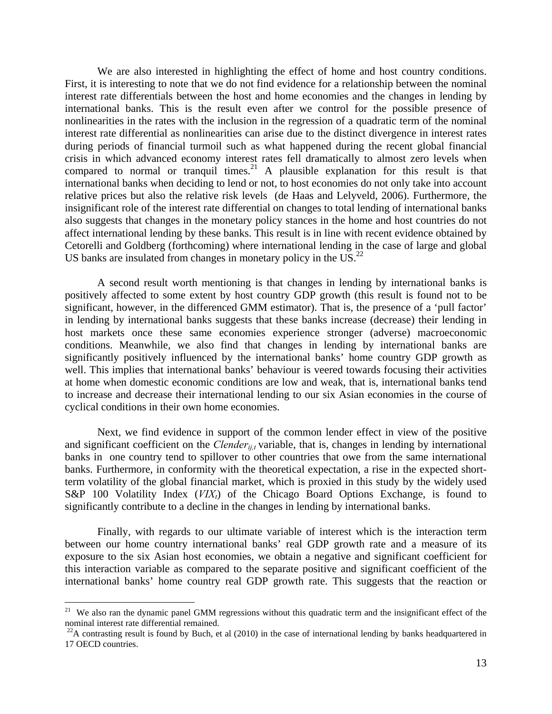We are also interested in highlighting the effect of home and host country conditions. First, it is interesting to note that we do not find evidence for a relationship between the nominal interest rate differentials between the host and home economies and the changes in lending by international banks. This is the result even after we control for the possible presence of nonlinearities in the rates with the inclusion in the regression of a quadratic term of the nominal interest rate differential as nonlinearities can arise due to the distinct divergence in interest rates during periods of financial turmoil such as what happened during the recent global financial crisis in which advanced economy interest rates fell dramatically to almost zero levels when compared to normal or tranquil times.<sup>21</sup> A plausible explanation for this result is that international banks when deciding to lend or not, to host economies do not only take into account relative prices but also the relative risk levels (de Haas and Lelyveld, 2006). Furthermore, the insignificant role of the interest rate differential on changes to total lending of international banks also suggests that changes in the monetary policy stances in the home and host countries do not affect international lending by these banks. This result is in line with recent evidence obtained by Cetorelli and Goldberg (forthcoming) where international lending in the case of large and global US banks are insulated from changes in monetary policy in the US. $^{22}$ 

A second result worth mentioning is that changes in lending by international banks is positively affected to some extent by host country GDP growth (this result is found not to be significant, however, in the differenced GMM estimator). That is, the presence of a 'pull factor' in lending by international banks suggests that these banks increase (decrease) their lending in host markets once these same economies experience stronger (adverse) macroeconomic conditions. Meanwhile, we also find that changes in lending by international banks are significantly positively influenced by the international banks' home country GDP growth as well. This implies that international banks' behaviour is veered towards focusing their activities at home when domestic economic conditions are low and weak, that is, international banks tend to increase and decrease their international lending to our six Asian economies in the course of cyclical conditions in their own home economies.

Next, we find evidence in support of the common lender effect in view of the positive and significant coefficient on the *Clender<sub>ii,t</sub>* variable, that is, changes in lending by international banks in one country tend to spillover to other countries that owe from the same international banks. Furthermore, in conformity with the theoretical expectation, a rise in the expected shortterm volatility of the global financial market, which is proxied in this study by the widely used S&P 100 Volatility Index (*VIX<sub>t</sub>*) of the Chicago Board Options Exchange, is found to significantly contribute to a decline in the changes in lending by international banks.

Finally, with regards to our ultimate variable of interest which is the interaction term between our home country international banks' real GDP growth rate and a measure of its exposure to the six Asian host economies, we obtain a negative and significant coefficient for this interaction variable as compared to the separate positive and significant coefficient of the international banks' home country real GDP growth rate. This suggests that the reaction or

<sup>&</sup>lt;sup>21</sup> We also ran the dynamic panel GMM regressions without this quadratic term and the insignificant effect of the nominal interest rate differential remained.

 $22A$  contrasting result is found by Buch, et al (2010) in the case of international lending by banks headquartered in 17 OECD countries.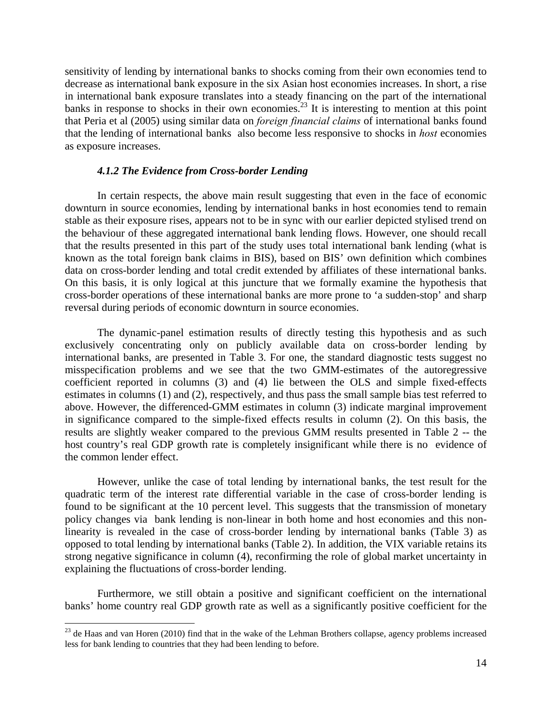sensitivity of lending by international banks to shocks coming from their own economies tend to decrease as international bank exposure in the six Asian host economies increases. In short, a rise in international bank exposure translates into a steady financing on the part of the international banks in response to shocks in their own economies.<sup>23</sup> It is interesting to mention at this point that Peria et al (2005) using similar data on *foreign financial claims* of international banks found that the lending of international banks also become less responsive to shocks in *host* economies as exposure increases.

#### *4.1.2 The Evidence from Cross-border Lending*

In certain respects, the above main result suggesting that even in the face of economic downturn in source economies, lending by international banks in host economies tend to remain stable as their exposure rises, appears not to be in sync with our earlier depicted stylised trend on the behaviour of these aggregated international bank lending flows. However, one should recall that the results presented in this part of the study uses total international bank lending (what is known as the total foreign bank claims in BIS), based on BIS' own definition which combines data on cross-border lending and total credit extended by affiliates of these international banks. On this basis, it is only logical at this juncture that we formally examine the hypothesis that cross-border operations of these international banks are more prone to 'a sudden-stop' and sharp reversal during periods of economic downturn in source economies.

The dynamic-panel estimation results of directly testing this hypothesis and as such exclusively concentrating only on publicly available data on cross-border lending by international banks, are presented in Table 3. For one, the standard diagnostic tests suggest no misspecification problems and we see that the two GMM-estimates of the autoregressive coefficient reported in columns (3) and (4) lie between the OLS and simple fixed-effects estimates in columns (1) and (2), respectively, and thus pass the small sample bias test referred to above. However, the differenced-GMM estimates in column (3) indicate marginal improvement in significance compared to the simple-fixed effects results in column (2). On this basis, the results are slightly weaker compared to the previous GMM results presented in Table 2 -- the host country's real GDP growth rate is completely insignificant while there is no evidence of the common lender effect.

However, unlike the case of total lending by international banks, the test result for the quadratic term of the interest rate differential variable in the case of cross-border lending is found to be significant at the 10 percent level. This suggests that the transmission of monetary policy changes via bank lending is non-linear in both home and host economies and this nonlinearity is revealed in the case of cross-border lending by international banks (Table 3) as opposed to total lending by international banks (Table 2). In addition, the VIX variable retains its strong negative significance in column (4), reconfirming the role of global market uncertainty in explaining the fluctuations of cross-border lending.

Furthermore, we still obtain a positive and significant coefficient on the international banks' home country real GDP growth rate as well as a significantly positive coefficient for the

 $\overline{a}$ 

 $23$  de Haas and van Horen (2010) find that in the wake of the Lehman Brothers collapse, agency problems increased less for bank lending to countries that they had been lending to before.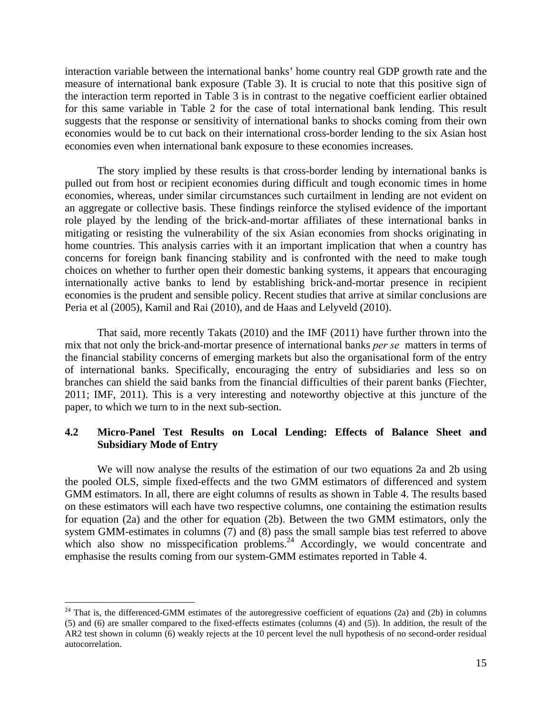interaction variable between the international banks' home country real GDP growth rate and the measure of international bank exposure (Table 3). It is crucial to note that this positive sign of the interaction term reported in Table 3 is in contrast to the negative coefficient earlier obtained for this same variable in Table 2 for the case of total international bank lending. This result suggests that the response or sensitivity of international banks to shocks coming from their own economies would be to cut back on their international cross-border lending to the six Asian host economies even when international bank exposure to these economies increases.

The story implied by these results is that cross-border lending by international banks is pulled out from host or recipient economies during difficult and tough economic times in home economies, whereas, under similar circumstances such curtailment in lending are not evident on an aggregate or collective basis. These findings reinforce the stylised evidence of the important role played by the lending of the brick-and-mortar affiliates of these international banks in mitigating or resisting the vulnerability of the six Asian economies from shocks originating in home countries. This analysis carries with it an important implication that when a country has concerns for foreign bank financing stability and is confronted with the need to make tough choices on whether to further open their domestic banking systems, it appears that encouraging internationally active banks to lend by establishing brick-and-mortar presence in recipient economies is the prudent and sensible policy. Recent studies that arrive at similar conclusions are Peria et al (2005), Kamil and Rai (2010), and de Haas and Lelyveld (2010).

That said, more recently Takats (2010) and the IMF (2011) have further thrown into the mix that not only the brick-and-mortar presence of international banks *per se* matters in terms of the financial stability concerns of emerging markets but also the organisational form of the entry of international banks. Specifically, encouraging the entry of subsidiaries and less so on branches can shield the said banks from the financial difficulties of their parent banks (Fiechter, 2011; IMF, 2011). This is a very interesting and noteworthy objective at this juncture of the paper, to which we turn to in the next sub-section.

## **4.2 Micro-Panel Test Results on Local Lending: Effects of Balance Sheet and Subsidiary Mode of Entry**

We will now analyse the results of the estimation of our two equations 2a and 2b using the pooled OLS, simple fixed-effects and the two GMM estimators of differenced and system GMM estimators. In all, there are eight columns of results as shown in Table 4. The results based on these estimators will each have two respective columns, one containing the estimation results for equation (2a) and the other for equation (2b). Between the two GMM estimators, only the system GMM-estimates in columns (7) and (8) pass the small sample bias test referred to above which also show no misspecification problems.<sup>24</sup> Accordingly, we would concentrate and emphasise the results coming from our system-GMM estimates reported in Table 4.

<sup>&</sup>lt;sup>24</sup> That is, the differenced-GMM estimates of the autoregressive coefficient of equations (2a) and (2b) in columns (5) and (6) are smaller compared to the fixed-effects estimates (columns (4) and (5)). In addition, the result of the AR2 test shown in column (6) weakly rejects at the 10 percent level the null hypothesis of no second-order residual autocorrelation.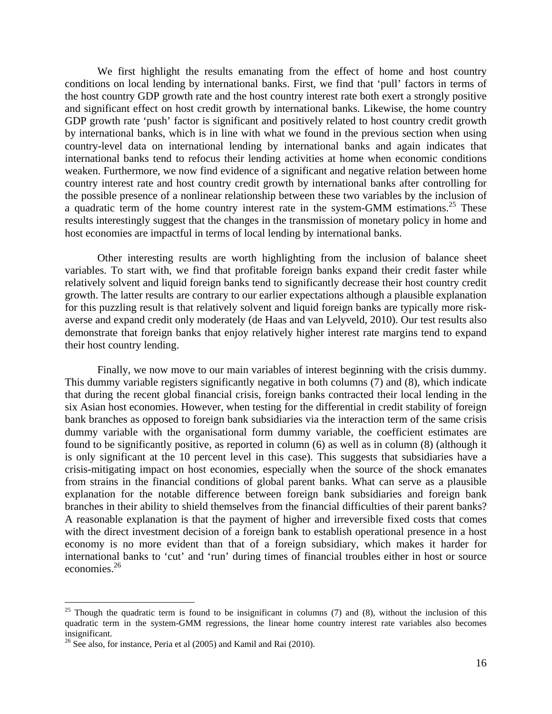We first highlight the results emanating from the effect of home and host country conditions on local lending by international banks. First, we find that 'pull' factors in terms of the host country GDP growth rate and the host country interest rate both exert a strongly positive and significant effect on host credit growth by international banks. Likewise, the home country GDP growth rate 'push' factor is significant and positively related to host country credit growth by international banks, which is in line with what we found in the previous section when using country-level data on international lending by international banks and again indicates that international banks tend to refocus their lending activities at home when economic conditions weaken. Furthermore, we now find evidence of a significant and negative relation between home country interest rate and host country credit growth by international banks after controlling for the possible presence of a nonlinear relationship between these two variables by the inclusion of a quadratic term of the home country interest rate in the system-GMM estimations.<sup>25</sup> These results interestingly suggest that the changes in the transmission of monetary policy in home and host economies are impactful in terms of local lending by international banks.

Other interesting results are worth highlighting from the inclusion of balance sheet variables. To start with, we find that profitable foreign banks expand their credit faster while relatively solvent and liquid foreign banks tend to significantly decrease their host country credit growth. The latter results are contrary to our earlier expectations although a plausible explanation for this puzzling result is that relatively solvent and liquid foreign banks are typically more riskaverse and expand credit only moderately (de Haas and van Lelyveld, 2010). Our test results also demonstrate that foreign banks that enjoy relatively higher interest rate margins tend to expand their host country lending.

Finally, we now move to our main variables of interest beginning with the crisis dummy. This dummy variable registers significantly negative in both columns (7) and (8), which indicate that during the recent global financial crisis, foreign banks contracted their local lending in the six Asian host economies. However, when testing for the differential in credit stability of foreign bank branches as opposed to foreign bank subsidiaries via the interaction term of the same crisis dummy variable with the organisational form dummy variable, the coefficient estimates are found to be significantly positive, as reported in column (6) as well as in column (8) (although it is only significant at the 10 percent level in this case). This suggests that subsidiaries have a crisis-mitigating impact on host economies, especially when the source of the shock emanates from strains in the financial conditions of global parent banks. What can serve as a plausible explanation for the notable difference between foreign bank subsidiaries and foreign bank branches in their ability to shield themselves from the financial difficulties of their parent banks? A reasonable explanation is that the payment of higher and irreversible fixed costs that comes with the direct investment decision of a foreign bank to establish operational presence in a host economy is no more evident than that of a foreign subsidiary, which makes it harder for international banks to 'cut' and 'run' during times of financial troubles either in host or source economies.26

<sup>&</sup>lt;sup>25</sup> Though the quadratic term is found to be insignificant in columns (7) and (8), without the inclusion of this quadratic term in the system-GMM regressions, the linear home country interest rate variables also becomes insignificant.

 $^{26}$  See also, for instance, Peria et al (2005) and Kamil and Rai (2010).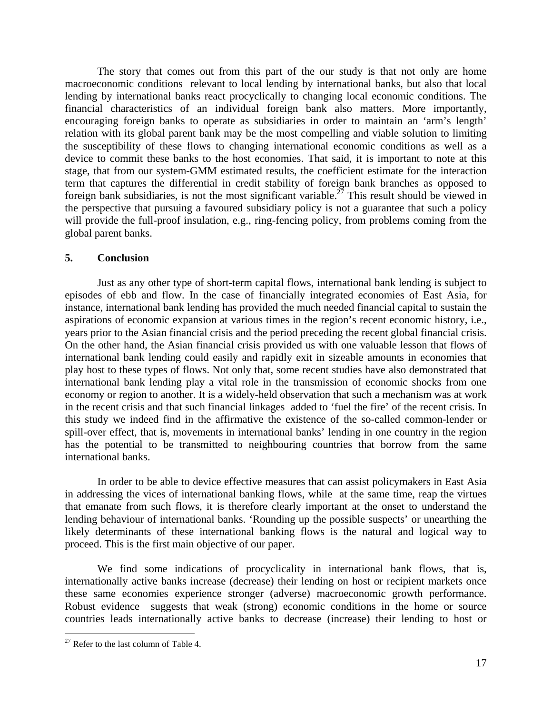The story that comes out from this part of the our study is that not only are home macroeconomic conditions relevant to local lending by international banks, but also that local lending by international banks react procyclically to changing local economic conditions. The financial characteristics of an individual foreign bank also matters. More importantly, encouraging foreign banks to operate as subsidiaries in order to maintain an 'arm's length' relation with its global parent bank may be the most compelling and viable solution to limiting the susceptibility of these flows to changing international economic conditions as well as a device to commit these banks to the host economies. That said, it is important to note at this stage, that from our system-GMM estimated results, the coefficient estimate for the interaction term that captures the differential in credit stability of foreign bank branches as opposed to foreign bank subsidiaries, is not the most significant variable.<sup>27</sup> This result should be viewed in the perspective that pursuing a favoured subsidiary policy is not a guarantee that such a policy will provide the full-proof insulation, e.g., ring-fencing policy, from problems coming from the global parent banks.

### **5. Conclusion**

Just as any other type of short-term capital flows, international bank lending is subject to episodes of ebb and flow. In the case of financially integrated economies of East Asia, for instance, international bank lending has provided the much needed financial capital to sustain the aspirations of economic expansion at various times in the region's recent economic history, i.e., years prior to the Asian financial crisis and the period preceding the recent global financial crisis. On the other hand, the Asian financial crisis provided us with one valuable lesson that flows of international bank lending could easily and rapidly exit in sizeable amounts in economies that play host to these types of flows. Not only that, some recent studies have also demonstrated that international bank lending play a vital role in the transmission of economic shocks from one economy or region to another. It is a widely-held observation that such a mechanism was at work in the recent crisis and that such financial linkages added to 'fuel the fire' of the recent crisis. In this study we indeed find in the affirmative the existence of the so-called common-lender or spill-over effect, that is, movements in international banks' lending in one country in the region has the potential to be transmitted to neighbouring countries that borrow from the same international banks.

In order to be able to device effective measures that can assist policymakers in East Asia in addressing the vices of international banking flows, while at the same time, reap the virtues that emanate from such flows, it is therefore clearly important at the onset to understand the lending behaviour of international banks. 'Rounding up the possible suspects' or unearthing the likely determinants of these international banking flows is the natural and logical way to proceed. This is the first main objective of our paper.

We find some indications of procyclicality in international bank flows, that is, internationally active banks increase (decrease) their lending on host or recipient markets once these same economies experience stronger (adverse) macroeconomic growth performance. Robust evidence suggests that weak (strong) economic conditions in the home or source countries leads internationally active banks to decrease (increase) their lending to host or

 $27$  Refer to the last column of Table 4.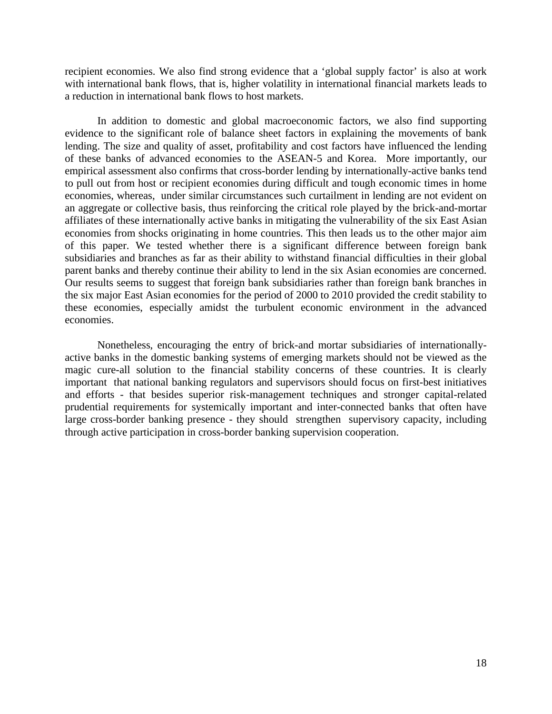recipient economies. We also find strong evidence that a 'global supply factor' is also at work with international bank flows, that is, higher volatility in international financial markets leads to a reduction in international bank flows to host markets.

In addition to domestic and global macroeconomic factors, we also find supporting evidence to the significant role of balance sheet factors in explaining the movements of bank lending. The size and quality of asset, profitability and cost factors have influenced the lending of these banks of advanced economies to the ASEAN-5 and Korea. More importantly, our empirical assessment also confirms that cross-border lending by internationally-active banks tend to pull out from host or recipient economies during difficult and tough economic times in home economies, whereas, under similar circumstances such curtailment in lending are not evident on an aggregate or collective basis, thus reinforcing the critical role played by the brick-and-mortar affiliates of these internationally active banks in mitigating the vulnerability of the six East Asian economies from shocks originating in home countries. This then leads us to the other major aim of this paper. We tested whether there is a significant difference between foreign bank subsidiaries and branches as far as their ability to withstand financial difficulties in their global parent banks and thereby continue their ability to lend in the six Asian economies are concerned. Our results seems to suggest that foreign bank subsidiaries rather than foreign bank branches in the six major East Asian economies for the period of 2000 to 2010 provided the credit stability to these economies, especially amidst the turbulent economic environment in the advanced economies.

Nonetheless, encouraging the entry of brick-and mortar subsidiaries of internationallyactive banks in the domestic banking systems of emerging markets should not be viewed as the magic cure-all solution to the financial stability concerns of these countries. It is clearly important that national banking regulators and supervisors should focus on first-best initiatives and efforts - that besides superior risk-management techniques and stronger capital-related prudential requirements for systemically important and inter-connected banks that often have large cross-border banking presence - they should strengthen supervisory capacity, including through active participation in cross-border banking supervision cooperation.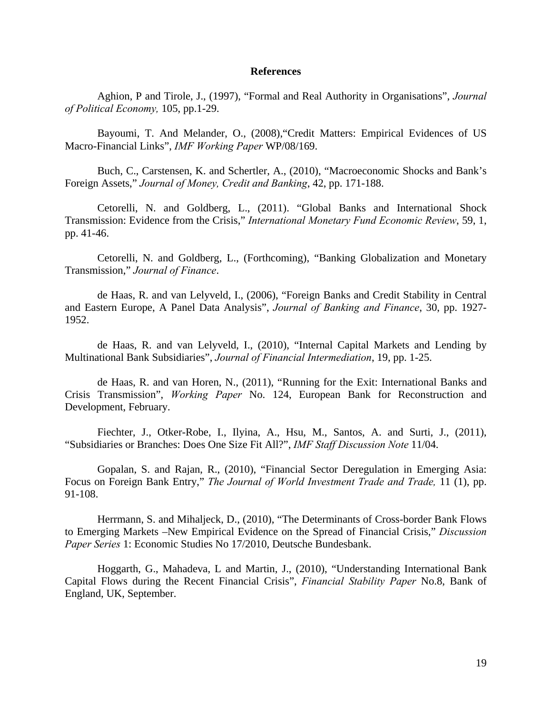#### **References**

Aghion, P and Tirole, J., (1997), "Formal and Real Authority in Organisations", *Journal of Political Economy,* 105, pp.1-29.

Bayoumi, T. And Melander, O., (2008),"Credit Matters: Empirical Evidences of US Macro-Financial Links", *IMF Working Paper* WP/08/169.

Buch, C., Carstensen, K. and Schertler, A., (2010), "Macroeconomic Shocks and Bank's Foreign Assets," *Journal of Money, Credit and Banking*, 42, pp. 171-188.

Cetorelli, N. and Goldberg, L., (2011). "Global Banks and International Shock Transmission: Evidence from the Crisis," *International Monetary Fund Economic Review*, 59, 1, pp. 41-46.

Cetorelli, N. and Goldberg, L., (Forthcoming), "Banking Globalization and Monetary Transmission," *Journal of Finance*.

de Haas, R. and van Lelyveld, I., (2006), "Foreign Banks and Credit Stability in Central and Eastern Europe, A Panel Data Analysis", *Journal of Banking and Finance*, 30, pp. 1927- 1952.

de Haas, R. and van Lelyveld, I., (2010), "Internal Capital Markets and Lending by Multinational Bank Subsidiaries", *Journal of Financial Intermediation*, 19, pp. 1-25.

de Haas, R. and van Horen, N., (2011), "Running for the Exit: International Banks and Crisis Transmission", *Working Paper* No. 124, European Bank for Reconstruction and Development, February.

Fiechter, J., Otker-Robe, I., Ilyina, A., Hsu, M., Santos, A. and Surti, J., (2011), "Subsidiaries or Branches: Does One Size Fit All?", *IMF Staff Discussion Note* 11/04.

Gopalan, S. and Rajan, R., (2010), "Financial Sector Deregulation in Emerging Asia: Focus on Foreign Bank Entry," *The Journal of World Investment Trade and Trade,* 11 (1), pp. 91-108.

Herrmann, S. and Mihaljeck, D., (2010), "The Determinants of Cross-border Bank Flows to Emerging Markets –New Empirical Evidence on the Spread of Financial Crisis," *Discussion Paper Series* 1: Economic Studies No 17/2010, Deutsche Bundesbank.

Hoggarth, G., Mahadeva, L and Martin, J., (2010), "Understanding International Bank Capital Flows during the Recent Financial Crisis", *Financial Stability Paper* No.8, Bank of England, UK, September.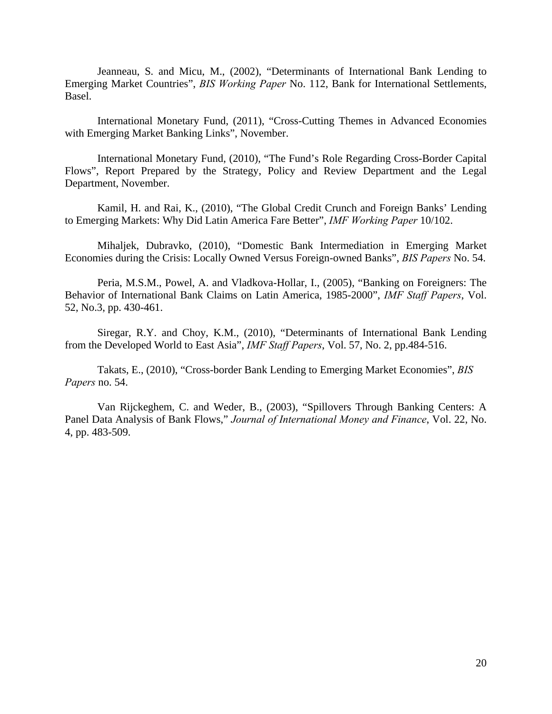Jeanneau, S. and Micu, M., (2002), "Determinants of International Bank Lending to Emerging Market Countries", *BIS Working Paper* No. 112, Bank for International Settlements, Basel.

International Monetary Fund, (2011), "Cross-Cutting Themes in Advanced Economies with Emerging Market Banking Links", November.

International Monetary Fund, (2010), "The Fund's Role Regarding Cross-Border Capital Flows", Report Prepared by the Strategy, Policy and Review Department and the Legal Department, November.

Kamil, H. and Rai, K., (2010), "The Global Credit Crunch and Foreign Banks' Lending to Emerging Markets: Why Did Latin America Fare Better", *IMF Working Paper* 10/102.

Mihaljek, Dubravko, (2010), "Domestic Bank Intermediation in Emerging Market Economies during the Crisis: Locally Owned Versus Foreign-owned Banks", *BIS Papers* No. 54.

Peria, M.S.M., Powel, A. and Vladkova-Hollar, I., (2005), "Banking on Foreigners: The Behavior of International Bank Claims on Latin America, 1985-2000", *IMF Staff Papers*, Vol. 52, No.3, pp. 430-461.

Siregar, R.Y. and Choy, K.M., (2010), "Determinants of International Bank Lending from the Developed World to East Asia", *IMF Staff Papers*, Vol. 57, No. 2, pp.484-516.

Takats, E., (2010), "Cross-border Bank Lending to Emerging Market Economies", *BIS Papers* no. 54.

Van Rijckeghem, C. and Weder, B., (2003), "Spillovers Through Banking Centers: A Panel Data Analysis of Bank Flows," *Journal of International Money and Finance*, Vol. 22, No. 4, pp. 483-509.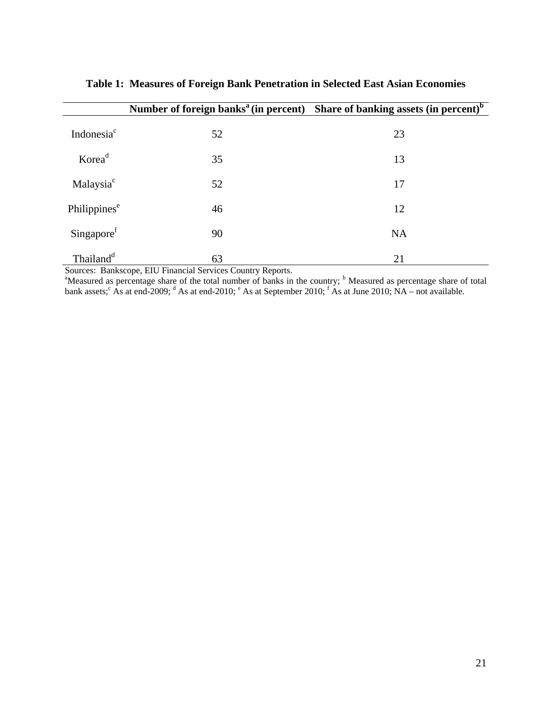|                          | Number of foreign banks <sup>a</sup> (in percent) Share of banking assets (in percent) <sup>b</sup> |           |
|--------------------------|-----------------------------------------------------------------------------------------------------|-----------|
| Indonesia <sup>c</sup>   | 52                                                                                                  | 23        |
| Korea <sup>d</sup>       | 35                                                                                                  | 13        |
| Malaysia <sup>c</sup>    | 52                                                                                                  | 17        |
| Philippines <sup>e</sup> | 46                                                                                                  | 12        |
| Singapore <sup>f</sup>   | 90                                                                                                  | <b>NA</b> |
| Thailand <sup>d</sup>    | 63                                                                                                  | 21        |

**Table 1: Measures of Foreign Bank Penetration in Selected East Asian Economies** 

Sources: Bankscope, EIU Financial Services Country Reports.<br><sup>a</sup>Measured as percentage share of the total number of banks in the country; <sup>b</sup> Measured as percentage share of total bank assets;  $\hat{A}$ s at end-2009;  $\hat{d}$  As at end-2010;  $\hat{e}$  As at September 2010;  $\hat{f}$  As at June 2010; NA – not available.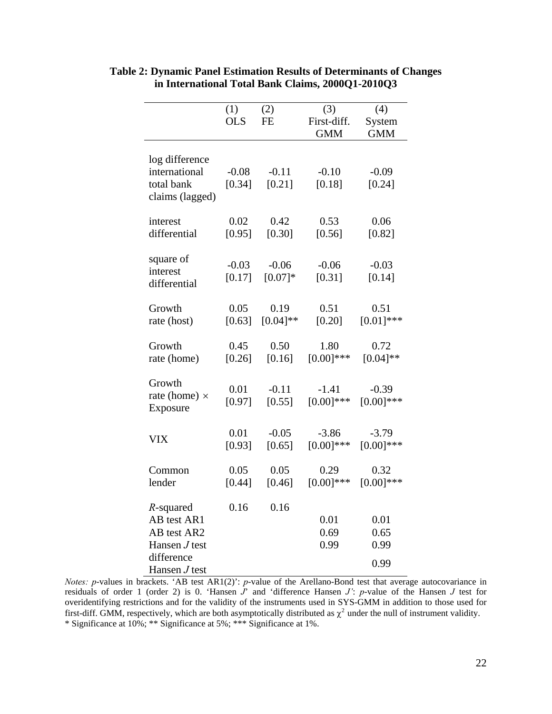|                                                                                                          | (1)               | (2)                          | (3)                       | (4)                          |
|----------------------------------------------------------------------------------------------------------|-------------------|------------------------------|---------------------------|------------------------------|
|                                                                                                          | <b>OLS</b>        | <b>FE</b>                    | First-diff.               | System                       |
|                                                                                                          |                   |                              | <b>GMM</b>                | <b>GMM</b>                   |
| log difference<br>international                                                                          | $-0.08$           | $-0.11$                      | $-0.10$                   | $-0.09$                      |
| total bank<br>claims (lagged)                                                                            | [0.34]            | [0.21]                       | [0.18]                    | [0.24]                       |
| interest<br>differential                                                                                 | 0.02<br>[0.95]    | 0.42<br>[0.30]               | 0.53<br>[0.56]            | 0.06<br>$[0.82]$             |
| square of<br>interest<br>differential                                                                    | $-0.03$<br>[0.17] | $-0.06$<br>$[0.07]*$         | $-0.06$<br>[0.31]         | $-0.03$<br>[0.14]            |
| Growth<br>rate (host)                                                                                    | 0.05              | 0.19<br>$[0.63]$ $[0.04]$ ** | 0.51<br>[0.20]            | 0.51<br>$[0.01]$ ***         |
| Growth<br>rate (home)                                                                                    | 0.45<br>$[0.26]$  | 0.50<br>$[0.16]$             | 1.80<br>$[0.00]$ ***      | 0.72<br>$[0.04]**$           |
| Growth<br>rate (home) $\times$<br>Exposure                                                               | 0.01<br>[0.97]    | $-0.11$<br>$[0.55]$          | $-1.41$<br>$[0.00]^{***}$ | $-0.39$<br>$[0.00]$ ***      |
| <b>VIX</b>                                                                                               | 0.01<br>$[0.93]$  | $-0.05$<br>[0.65]            | $-3.86$<br>$[0.00]$ ***   | $-3.79$<br>$[0.00]***$       |
| Common<br>lender                                                                                         | 0.05<br>$[0.44]$  | 0.05<br>$[0.46]$             | 0.29<br>$[0.00]$ ***      | 0.32<br>$[0.00]$ ***         |
| $R$ -squared<br>AB test AR1<br>AB test AR2<br>Hansen <i>J</i> test<br>difference<br>Hansen <i>J</i> test | 0.16              | 0.16                         | 0.01<br>0.69<br>0.99      | 0.01<br>0.65<br>0.99<br>0.99 |

**Table 2: Dynamic Panel Estimation Results of Determinants of Changes in International Total Bank Claims, 2000Q1-2010Q3** 

*Notes: p*-values in brackets. 'AB test AR1(2)': *p*-value of the Arellano-Bond test that average autocovariance in residuals of order 1 (order 2) is 0. 'Hansen *J*' and 'difference Hansen *J'*: *p*-value of the Hansen *J* test for overidentifying restrictions and for the validity of the instruments used in SYS-GMM in addition to those used for first-diff. GMM, respectively, which are both asymptotically distributed as  $\chi^2$  under the null of instrument validity. \* Significance at 10%; \*\* Significance at 5%; \*\*\* Significance at 1%.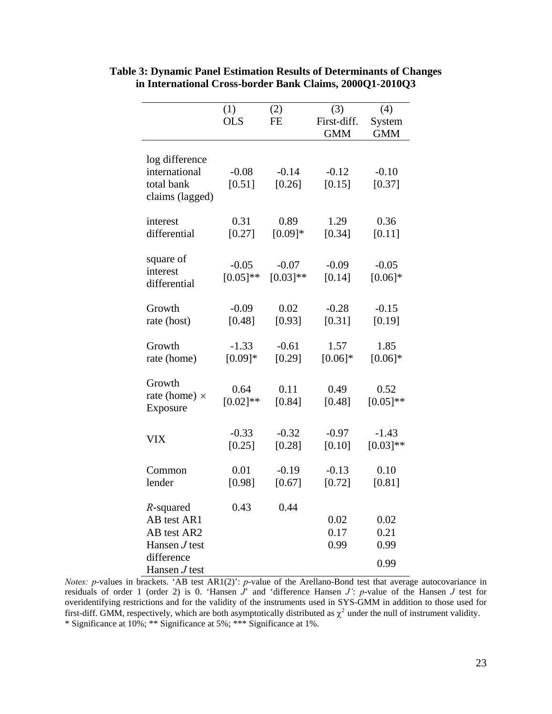|                      | (1)         | (2)         | (3)         | (4)         |
|----------------------|-------------|-------------|-------------|-------------|
|                      | <b>OLS</b>  | FE          | First-diff. | System      |
|                      |             |             | <b>GMM</b>  | <b>GMM</b>  |
| log difference       |             |             |             |             |
| international        | $-0.08$     | $-0.14$     | $-0.12$     | $-0.10$     |
| total bank           | [0.51]      | [0.26]      | [0.15]      | [0.37]      |
| claims (lagged)      |             |             |             |             |
| interest             | 0.31        | 0.89        | 1.29        | 0.36        |
| differential         | [0.27]      | $[0.09]*$   | [0.34]      | [0.11]      |
|                      |             |             |             |             |
| square of            | $-0.05$     | $-0.07$     | $-0.09$     | $-0.05$     |
| interest             | $[0.05]$ ** | $[0.03]$ ** | [0.14]      | $[0.06]*$   |
| differential         |             |             |             |             |
| Growth               | $-0.09$     | 0.02        | $-0.28$     | $-0.15$     |
| rate (host)          | [0.48]      | [0.93]      | $[0.31]$    | [0.19]      |
|                      |             |             |             |             |
| Growth               | $-1.33$     | $-0.61$     | 1.57        | 1.85        |
| rate (home)          | $[0.09]*$   | $[0.29]$    | $[0.06]*$   | $[0.06]*$   |
| Growth               |             |             |             |             |
| rate (home) $\times$ | 0.64        | 0.11        | 0.49        | 0.52        |
| Exposure             | $[0.02]**$  | [0.84]      | [0.48]      | $[0.05]$ ** |
|                      |             |             |             |             |
|                      | $-0.33$     | $-0.32$     | $-0.97$     | $-1.43$     |
| <b>VIX</b>           | [0.25]      | [0.28]      | [0.10]      | $[0.03]**$  |
|                      |             |             |             |             |
| Common               | 0.01        | $-0.19$     | $-0.13$     | 0.10        |
| lender               | [0.98]      | [0.67]      | [0.72]      | [0.81]      |
| R-squared            | 0.43        | 0.44        |             |             |
| AB test AR1          |             |             | 0.02        | 0.02        |
| AB test AR2          |             |             | 0.17        | 0.21        |
| Hansen <i>J</i> test |             |             | 0.99        | 0.99        |
| difference           |             |             |             | 0.99        |
| Hansen <i>J</i> test |             |             |             |             |

**Table 3: Dynamic Panel Estimation Results of Determinants of Changes in International Cross-border Bank Claims, 2000Q1-2010Q3** 

*Notes: p*-values in brackets. 'AB test AR1(2)': *p*-value of the Arellano-Bond test that average autocovariance in residuals of order 1 (order 2) is 0. 'Hansen *J*' and 'difference Hansen *J'*: *p*-value of the Hansen *J* test for overidentifying restrictions and for the validity of the instruments used in SYS-GMM in addition to those used for first-diff. GMM, respectively, which are both asymptotically distributed as  $\chi^2$  under the null of instrument validity. \* Significance at 10%; \*\* Significance at 5%; \*\*\* Significance at 1%.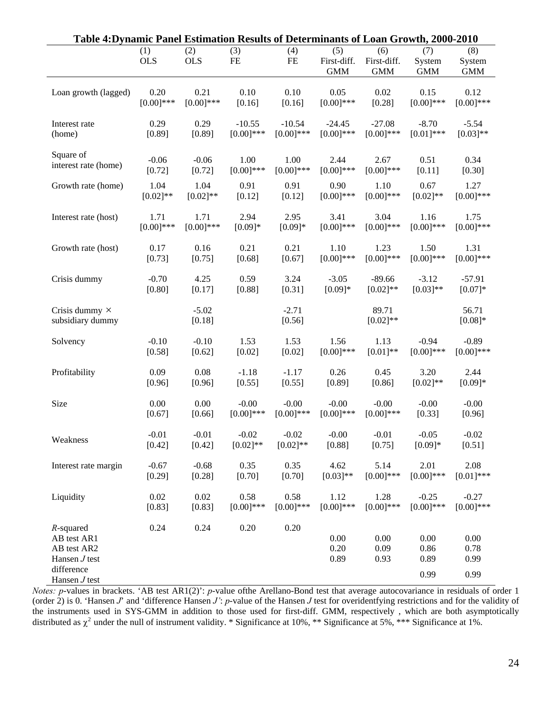| Table 4: Dynamic Panel Estimation Results of Determinants of Loan Growth, 2000-2010            |                   |                   |                  |                   |                                  |                                  |                              |                              |
|------------------------------------------------------------------------------------------------|-------------------|-------------------|------------------|-------------------|----------------------------------|----------------------------------|------------------------------|------------------------------|
|                                                                                                | (1)<br><b>OLS</b> | (2)<br><b>OLS</b> | (3)<br><b>FE</b> | (4)<br>FE         | (5)<br>First-diff.<br><b>GMM</b> | (6)<br>First-diff.<br><b>GMM</b> | (7)<br>System<br><b>GMM</b>  | (8)<br>System<br><b>GMM</b>  |
| Loan growth (lagged)                                                                           | 0.20              | 0.21              | 0.10             | 0.10              | 0.05                             | 0.02                             | 0.15                         | 0.12                         |
|                                                                                                | $[0.00]$ ***      | $[0.00]$ ***      | [0.16]           | [0.16]            | $[0.00]$ ***                     | [0.28]                           | $[0.00]$ ***                 | $[0.00]$ ***                 |
| Interest rate                                                                                  | 0.29              | 0.29              | $-10.55$         | $-10.54$          | $-24.45$                         | $-27.08$                         | $-8.70$                      | $-5.54$                      |
| (home)                                                                                         | [0.89]            | [0.89]            | $[0.00]$ ***     | $[0.00]$ ***      | $[0.00]$ ***                     | $[0.00]$ ***                     | $[0.01]$ ***                 | $[0.03]**$                   |
| Square of                                                                                      | $-0.06$           | $-0.06$           | 1.00             | 1.00              | 2.44                             | 2.67                             | 0.51                         | 0.34                         |
| interest rate (home)                                                                           | [0.72]            | [0.72]            | $[0.00]$ ***     | $[0.00]$ ***      | $[0.00]$ ***                     | $[0.00]$ ***                     | [0.11]                       | [0.30]                       |
| Growth rate (home)                                                                             | 1.04              | 1.04              | 0.91             | 0.91              | 0.90                             | 1.10                             | 0.67                         | 1.27                         |
|                                                                                                | $[0.02]$ **       | $[0.02]$ **       | [0.12]           | [0.12]            | $[0.00]$ ***                     | $[0.00]$ ***                     | $[0.02]$ **                  | $[0.00]$ ***                 |
| Interest rate (host)                                                                           | 1.71              | 1.71              | 2.94             | 2.95              | 3.41                             | 3.04                             | 1.16                         | 1.75                         |
|                                                                                                | $[0.00]$ ***      | $[0.00]$ ***      | $[0.09]*$        | $[0.09]*$         | $[0.00]$ ***                     | $[0.00]$ ***                     | $[0.00]$ ***                 | $[0.00]$ ***                 |
| Growth rate (host)                                                                             | 0.17              | 0.16              | 0.21             | 0.21              | 1.10                             | 1.23                             | 1.50                         | 1.31                         |
|                                                                                                | [0.73]            | [0.75]            | [0.68]           | [0.67]            | $[0.00]$ ***                     | $[0.00]$ ***                     | $[0.00]$ ***                 | $[0.00]$ ***                 |
| Crisis dummy                                                                                   | $-0.70$           | 4.25              | 0.59             | 3.24              | $-3.05$                          | $-89.66$                         | $-3.12$                      | $-57.91$                     |
|                                                                                                | [0.80]            | [0.17]            | [0.88]           | [0.31]            | $[0.09]*$                        | $[0.02]$ **                      | $[0.03]**$                   | $[0.07]*$                    |
| Crisis dummy $\times$<br>subsidiary dummy                                                      |                   | $-5.02$<br>[0.18] |                  | $-2.71$<br>[0.56] |                                  | 89.71<br>$[0.02]**$              |                              | 56.71<br>$[0.08]*$           |
| Solvency                                                                                       | $-0.10$           | $-0.10$           | 1.53             | 1.53              | 1.56                             | 1.13                             | $-0.94$                      | $-0.89$                      |
|                                                                                                | [0.58]            | [0.62]            | [0.02]           | [0.02]            | $[0.00]$ ***                     | $[0.01]**$                       | $[0.00]$ ***                 | $[0.00]$ ***                 |
| Profitability                                                                                  | 0.09              | 0.08              | $-1.18$          | $-1.17$           | 0.26                             | 0.45                             | 3.20                         | 2.44                         |
|                                                                                                | [0.96]            | [0.96]            | [0.55]           | [0.55]            | [0.89]                           | [0.86]                           | $[0.02]$ **                  | $[0.09]*$                    |
| Size                                                                                           | 0.00              | 0.00              | $-0.00$          | $-0.00$           | $-0.00$                          | $-0.00$                          | $-0.00$                      | $-0.00$                      |
|                                                                                                | [0.67]            | [0.66]            | $[0.00]$ ***     | $[0.00]$ ***      | $[0.00]$ ***                     | $[0.00]$ ***                     | [0.33]                       | [0.96]                       |
| Weakness                                                                                       | $-0.01$           | $-0.01$           | $-0.02$          | $-0.02$           | $-0.00$                          | $-0.01$                          | $-0.05$                      | $-0.02$                      |
|                                                                                                | [0.42]            | [0.42]            | $[0.02]**$       | $[0.02]**$        | [0.88]                           | [0.75]                           | $[0.09]*$                    | [0.51]                       |
| Interest rate margin                                                                           | $-0.67$           | $-0.68$           | 0.35             | 0.35              | 4.62                             | 5.14                             | 2.01                         | 2.08                         |
|                                                                                                | $[0.29]$          | [0.28]            | [0.70]           | [0.70]            | $[0.03]**$                       | $[0.00]$ ***                     | $[0.00]$ ***                 | $[0.01]$ ***                 |
| Liquidity                                                                                      | 0.02              | 0.02              | 0.58             | 0.58              | 1.12                             | 1.28                             | $-0.25$                      | $-0.27$                      |
|                                                                                                | [0.83]            | [0.83]            | $[0.00]$ ***     | $[0.00]$ ***      | $[0.00]$ ***                     | $[0.00]$ ***                     | $[0.00]$ ***                 | $[0.00]$ ***                 |
| $R$ -squared<br>AB test AR1<br>AB test AR2<br>Hansen $J$ test<br>difference<br>Hansen $J$ test | 0.24              | 0.24              | 0.20             | 0.20              | 0.00<br>0.20<br>0.89             | 0.00<br>0.09<br>0.93             | 0.00<br>0.86<br>0.89<br>0.99 | 0.00<br>0.78<br>0.99<br>0.99 |

*Notes: p*-values in brackets. 'AB test AR1(2)': *p*-value ofthe Arellano-Bond test that average autocovariance in residuals of order 1 (order 2) is 0. 'Hansen *J*' and 'difference Hansen *J'*: *p*-value of the Hansen *J* test for overidentfying restrictions and for the validity of the instruments used in SYS-GMM in addition to those used for first-diff. GMM, respectively , which are both asymptotically distributed as  $\chi^2$  under the null of instrument validity. \* Significance at 10%, \*\* Significance at 5%, \*\*\* Significance at 1%.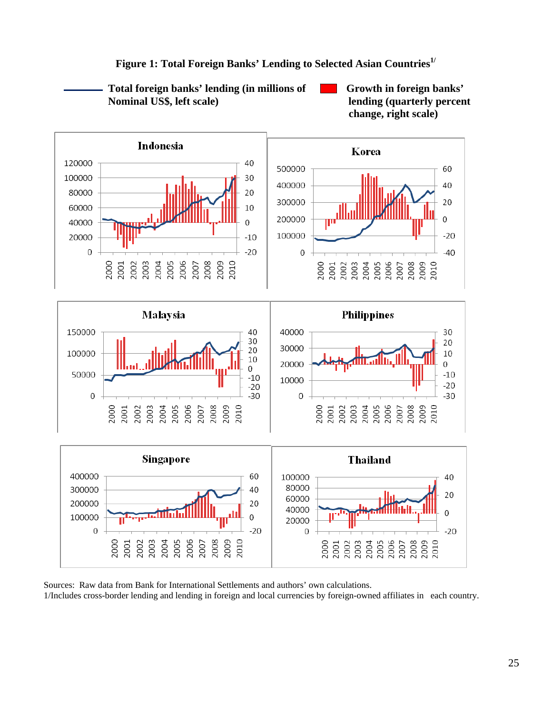

Figure 1: Total Foreign Banks' Lending to Selected Asian Countries<sup>1/</sup>

 **Total foreign banks' lending (in millions of Growth in foreign banks' Nominal US\$, left scale)** lending (quarterly percent

 Sources: Raw data from Bank for International Settlements and authors' own calculations. 1/Includes cross-border lending and lending in foreign and local currencies by foreign-owned affiliates in each country.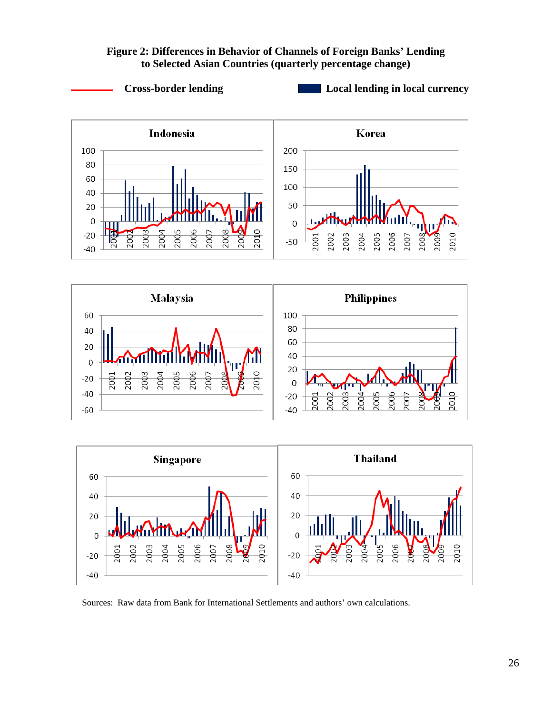## **Figure 2: Differences in Behavior of Channels of Foreign Banks' Lending to Selected Asian Countries (quarterly percentage change)**







Sources: Raw data from Bank for International Settlements and authors' own calculations.